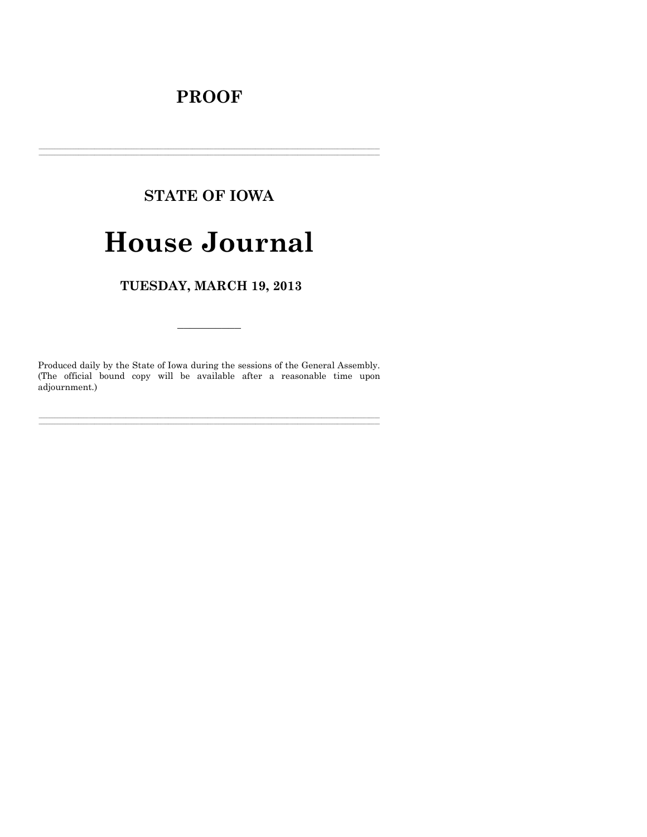# **PROOF**

# **STATE OF IOWA**

# **House Journal**

TUESDAY, MARCH 19, 2013

Produced daily by the State of Iowa during the sessions of the General Assembly. (The official bound copy will be available after a reasonable time upon adjournment.)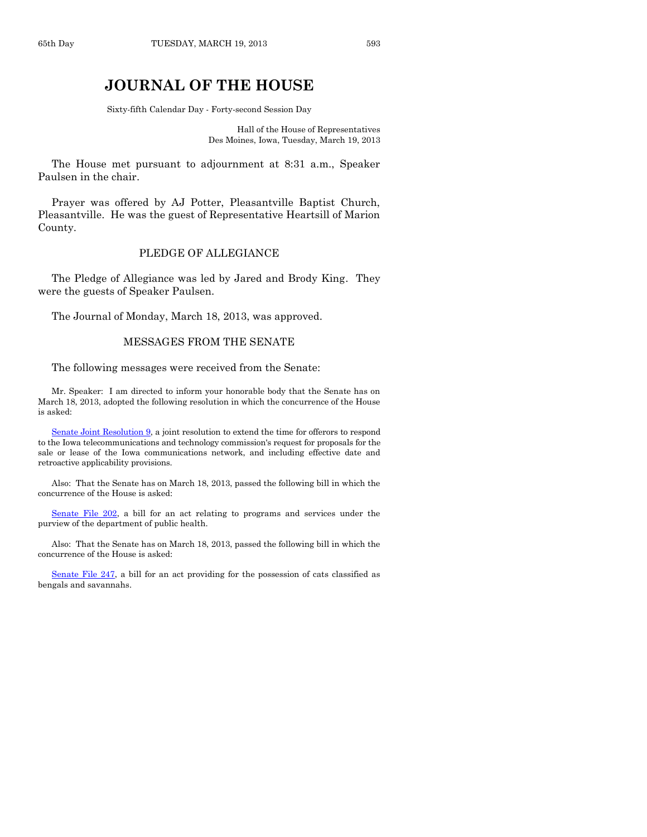# **JOURNAL OF THE HOUSE**

Sixty-fifth Calendar Day - Forty-second Session Day

Hall of the House of Representatives Des Moines, Iowa, Tuesday, March 19, 2013

The House met pursuant to adjournment at 8:31 a.m., Speaker Paulsen in the chair.

Prayer was offered by AJ Potter, Pleasantville Baptist Church, Pleasantville. He was the guest of Representative Heartsill of Marion County.

# PLEDGE OF ALLEGIANCE

The Pledge of Allegiance was led by Jared and Brody King. They were the guests of Speaker Paulsen.

The Journal of Monday, March 18, 2013, was approved.

#### MESSAGES FROM THE SENATE

The following messages were received from the Senate:

Mr. Speaker: I am directed to inform your honorable body that the Senate has on March 18, 2013, adopted the following resolution in which the concurrence of the House is asked:

[Senate Joint Resolution 9,](http://coolice.legis.state.ia.us/Cool-ICE/default.asp?Category=billinfo&Service=Billbook&frame=1&GA=85&hbill=SJR9) a joint resolution to extend the time for offerors to respond to the Iowa telecommunications and technology commission's request for proposals for the sale or lease of the Iowa communications network, and including effective date and retroactive applicability provisions.

Also: That the Senate has on March 18, 2013, passed the following bill in which the concurrence of the House is asked:

[Senate File 202,](http://coolice.legis.state.ia.us/Cool-ICE/default.asp?Category=billinfo&Service=Billbook&frame=1&GA=85&hbill=SF202) a bill for an act relating to programs and services under the purview of the department of public health.

Also: That the Senate has on March 18, 2013, passed the following bill in which the concurrence of the House is asked:

[Senate File 247,](http://coolice.legis.state.ia.us/Cool-ICE/default.asp?Category=billinfo&Service=Billbook&frame=1&GA=85&hbill=SF247) a bill for an act providing for the possession of cats classified as bengals and savannahs.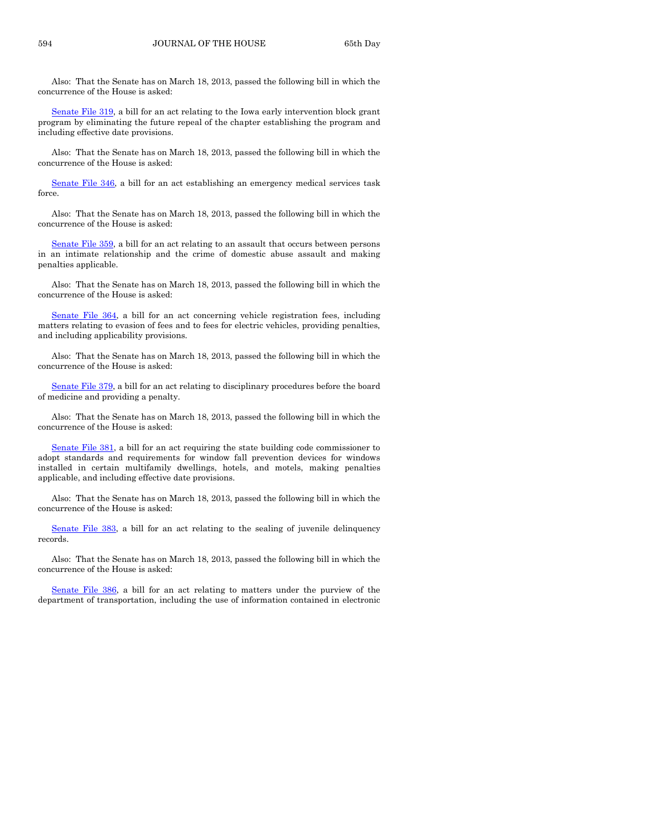Also: That the Senate has on March 18, 2013, passed the following bill in which the concurrence of the House is asked:

[Senate File 319,](http://coolice.legis.state.ia.us/Cool-ICE/default.asp?Category=billinfo&Service=Billbook&frame=1&GA=85&hbill=SF319) a bill for an act relating to the Iowa early intervention block grant program by eliminating the future repeal of the chapter establishing the program and including effective date provisions.

Also: That the Senate has on March 18, 2013, passed the following bill in which the concurrence of the House is asked:

[Senate File 346,](http://coolice.legis.state.ia.us/Cool-ICE/default.asp?Category=billinfo&Service=Billbook&frame=1&GA=85&hbill=SF346) a bill for an act establishing an emergency medical services task force.

Also: That the Senate has on March 18, 2013, passed the following bill in which the concurrence of the House is asked:

[Senate File 359,](http://coolice.legis.state.ia.us/Cool-ICE/default.asp?Category=billinfo&Service=Billbook&frame=1&GA=85&hbill=SF359) a bill for an act relating to an assault that occurs between persons in an intimate relationship and the crime of domestic abuse assault and making penalties applicable.

Also: That the Senate has on March 18, 2013, passed the following bill in which the concurrence of the House is asked:

[Senate File 364,](http://coolice.legis.state.ia.us/Cool-ICE/default.asp?Category=billinfo&Service=Billbook&frame=1&GA=85&hbill=SF364) a bill for an act concerning vehicle registration fees, including matters relating to evasion of fees and to fees for electric vehicles, providing penalties, and including applicability provisions.

Also: That the Senate has on March 18, 2013, passed the following bill in which the concurrence of the House is asked:

[Senate File 379,](http://coolice.legis.state.ia.us/Cool-ICE/default.asp?Category=billinfo&Service=Billbook&frame=1&GA=85&hbill=SF379) a bill for an act relating to disciplinary procedures before the board of medicine and providing a penalty.

Also: That the Senate has on March 18, 2013, passed the following bill in which the concurrence of the House is asked:

[Senate File 381,](http://coolice.legis.state.ia.us/Cool-ICE/default.asp?Category=billinfo&Service=Billbook&frame=1&GA=85&hbill=SF381) a bill for an act requiring the state building code commissioner to adopt standards and requirements for window fall prevention devices for windows installed in certain multifamily dwellings, hotels, and motels, making penalties applicable, and including effective date provisions.

Also: That the Senate has on March 18, 2013, passed the following bill in which the concurrence of the House is asked:

[Senate File 383,](http://coolice.legis.state.ia.us/Cool-ICE/default.asp?Category=billinfo&Service=Billbook&frame=1&GA=85&hbill=SF383) a bill for an act relating to the sealing of juvenile delinquency records.

Also: That the Senate has on March 18, 2013, passed the following bill in which the concurrence of the House is asked:

[Senate File 386,](http://coolice.legis.state.ia.us/Cool-ICE/default.asp?Category=billinfo&Service=Billbook&frame=1&GA=85&hbill=SF386) a bill for an act relating to matters under the purview of the department of transportation, including the use of information contained in electronic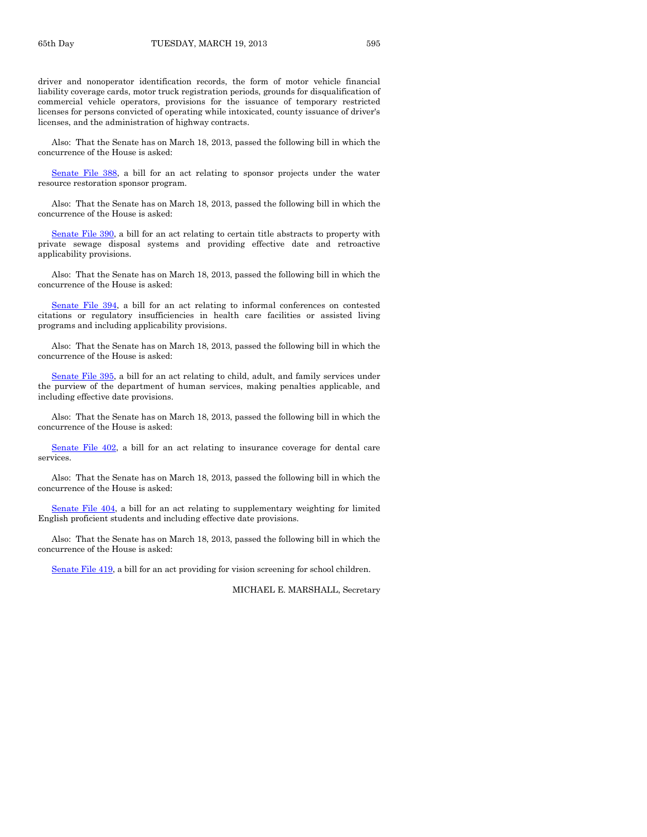driver and nonoperator identification records, the form of motor vehicle financial liability coverage cards, motor truck registration periods, grounds for disqualification of commercial vehicle operators, provisions for the issuance of temporary restricted licenses for persons convicted of operating while intoxicated, county issuance of driver's licenses, and the administration of highway contracts.

Also: That the Senate has on March 18, 2013, passed the following bill in which the concurrence of the House is asked:

[Senate File 388,](http://coolice.legis.state.ia.us/Cool-ICE/default.asp?Category=billinfo&Service=Billbook&frame=1&GA=85&hbill=SF388) a bill for an act relating to sponsor projects under the water resource restoration sponsor program.

Also: That the Senate has on March 18, 2013, passed the following bill in which the concurrence of the House is asked:

[Senate File 390,](http://coolice.legis.state.ia.us/Cool-ICE/default.asp?Category=billinfo&Service=Billbook&frame=1&GA=85&hbill=SF390) a bill for an act relating to certain title abstracts to property with private sewage disposal systems and providing effective date and retroactive applicability provisions.

Also: That the Senate has on March 18, 2013, passed the following bill in which the concurrence of the House is asked:

[Senate File 394,](http://coolice.legis.state.ia.us/Cool-ICE/default.asp?Category=billinfo&Service=Billbook&frame=1&GA=85&hbill=SF394) a bill for an act relating to informal conferences on contested citations or regulatory insufficiencies in health care facilities or assisted living programs and including applicability provisions.

Also: That the Senate has on March 18, 2013, passed the following bill in which the concurrence of the House is asked:

[Senate File 395,](http://coolice.legis.state.ia.us/Cool-ICE/default.asp?Category=billinfo&Service=Billbook&frame=1&GA=85&hbill=SF395) a bill for an act relating to child, adult, and family services under the purview of the department of human services, making penalties applicable, and including effective date provisions.

Also: That the Senate has on March 18, 2013, passed the following bill in which the concurrence of the House is asked:

[Senate File 402,](http://coolice.legis.state.ia.us/Cool-ICE/default.asp?Category=billinfo&Service=Billbook&frame=1&GA=85&hbill=SF402) a bill for an act relating to insurance coverage for dental care services.

Also: That the Senate has on March 18, 2013, passed the following bill in which the concurrence of the House is asked:

[Senate File 404,](http://coolice.legis.state.ia.us/Cool-ICE/default.asp?Category=billinfo&Service=Billbook&frame=1&GA=85&hbill=SF404) a bill for an act relating to supplementary weighting for limited English proficient students and including effective date provisions.

Also: That the Senate has on March 18, 2013, passed the following bill in which the concurrence of the House is asked:

[Senate File 419,](http://coolice.legis.state.ia.us/Cool-ICE/default.asp?Category=billinfo&Service=Billbook&frame=1&GA=85&hbill=SF419) a bill for an act providing for vision screening for school children.

MICHAEL E. MARSHALL, Secretary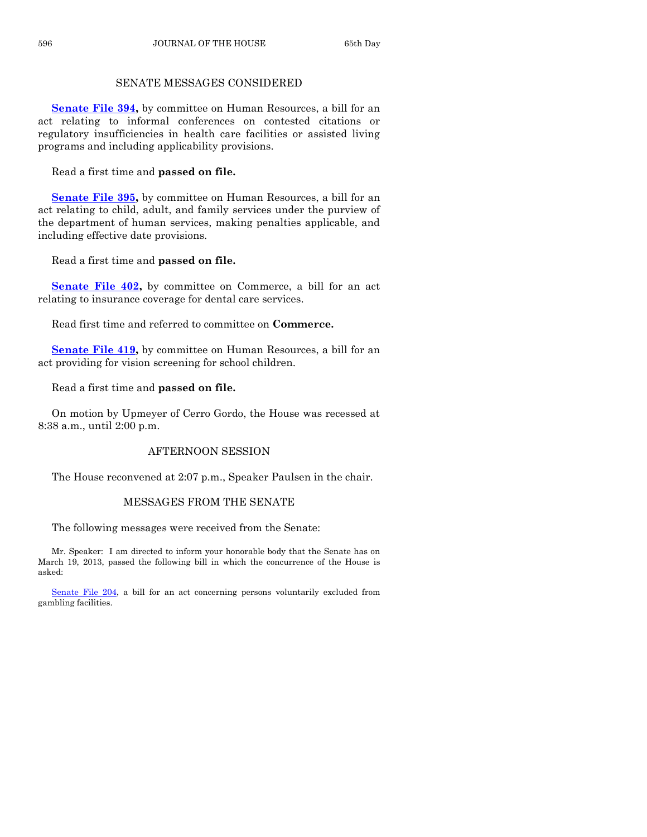# SENATE MESSAGES CONSIDERED

**[Senate File 394,](http://coolice.legis.state.ia.us/Cool-ICE/default.asp?Category=billinfo&Service=Billbook&frame=1&GA=85&hbill=SF394)** by committee on Human Resources, a bill for an act relating to informal conferences on contested citations or regulatory insufficiencies in health care facilities or assisted living programs and including applicability provisions.

Read a first time and **passed on file.**

**[Senate File 395,](http://coolice.legis.state.ia.us/Cool-ICE/default.asp?Category=billinfo&Service=Billbook&frame=1&GA=85&hbill=SF395)** by committee on Human Resources, a bill for an act relating to child, adult, and family services under the purview of the department of human services, making penalties applicable, and including effective date provisions.

Read a first time and **passed on file.**

**[Senate File 402,](http://coolice.legis.state.ia.us/Cool-ICE/default.asp?Category=billinfo&Service=Billbook&frame=1&GA=85&hbill=SF402) by committee on Commerce, a bill for an act** relating to insurance coverage for dental care services.

Read first time and referred to committee on **Commerce.**

**[Senate File 419,](http://coolice.legis.state.ia.us/Cool-ICE/default.asp?Category=billinfo&Service=Billbook&frame=1&GA=85&hbill=SF419)** by committee on Human Resources, a bill for an act providing for vision screening for school children.

Read a first time and **passed on file.**

On motion by Upmeyer of Cerro Gordo, the House was recessed at 8:38 a.m., until 2:00 p.m.

# AFTERNOON SESSION

The House reconvened at 2:07 p.m., Speaker Paulsen in the chair.

#### MESSAGES FROM THE SENATE

The following messages were received from the Senate:

Mr. Speaker: I am directed to inform your honorable body that the Senate has on March 19, 2013, passed the following bill in which the concurrence of the House is asked:

[Senate File 204,](http://coolice.legis.state.ia.us/Cool-ICE/default.asp?Category=billinfo&Service=Billbook&frame=1&GA=85&hbill=SF204) a bill for an act concerning persons voluntarily excluded from gambling facilities.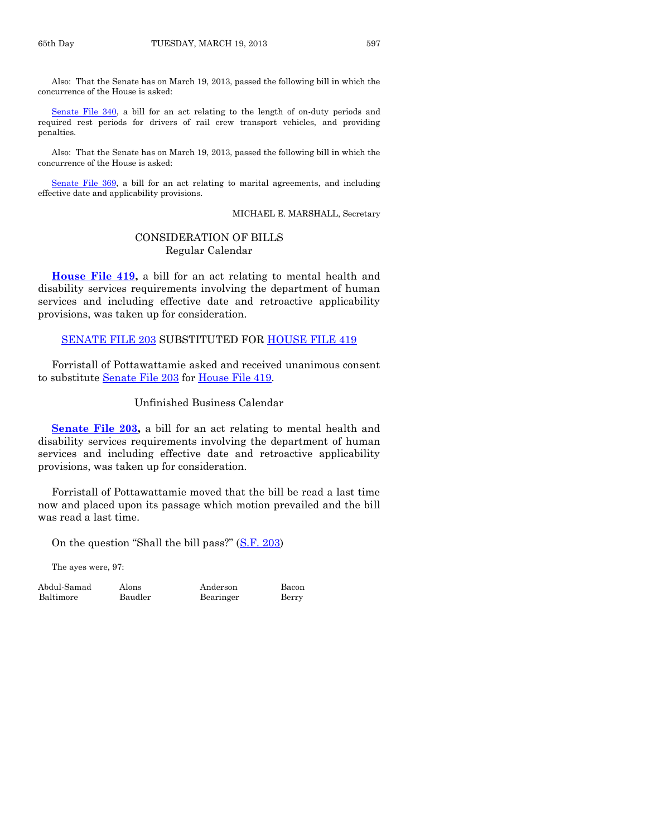Also: That the Senate has on March 19, 2013, passed the following bill in which the concurrence of the House is asked:

[Senate File 340,](http://coolice.legis.state.ia.us/Cool-ICE/default.asp?Category=billinfo&Service=Billbook&frame=1&GA=85&hbill=SF340) a bill for an act relating to the length of on-duty periods and required rest periods for drivers of rail crew transport vehicles, and providing penalties.

Also: That the Senate has on March 19, 2013, passed the following bill in which the concurrence of the House is asked:

[Senate File 369,](http://coolice.legis.state.ia.us/Cool-ICE/default.asp?Category=billinfo&Service=Billbook&frame=1&GA=85&hbill=SF369) a bill for an act relating to marital agreements, and including effective date and applicability provisions.

MICHAEL E. MARSHALL, Secretary

# CONSIDERATION OF BILLS Regular Calendar

**[House File 419,](http://coolice.legis.state.ia.us/Cool-ICE/default.asp?Category=billinfo&Service=Billbook&frame=1&GA=85&hbill=HF419)** a bill for an act relating to mental health and disability services requirements involving the department of human services and including effective date and retroactive applicability provisions, was taken up for consideration.

[SENATE FILE 203](http://coolice.legis.state.ia.us/Cool-ICE/default.asp?Category=billinfo&Service=Billbook&frame=1&GA=85&hbill=SF203) SUBSTITUTED FOR [HOUSE FILE 419](http://coolice.legis.state.ia.us/Cool-ICE/default.asp?Category=billinfo&Service=Billbook&frame=1&GA=85&hbill=HF419)

Forristall of Pottawattamie asked and received unanimous consent to substitute [Senate File 203](http://coolice.legis.state.ia.us/Cool-ICE/default.asp?Category=billinfo&Service=Billbook&frame=1&GA=85&hbill=SF203) for [House File 419.](http://coolice.legis.state.ia.us/Cool-ICE/default.asp?Category=billinfo&Service=Billbook&frame=1&GA=85&hbill=HF419)

Unfinished Business Calendar

**[Senate File 203,](http://coolice.legis.state.ia.us/Cool-ICE/default.asp?Category=billinfo&Service=Billbook&frame=1&GA=85&hbill=SF203)** a bill for an act relating to mental health and disability services requirements involving the department of human services and including effective date and retroactive applicability provisions, was taken up for consideration.

Forristall of Pottawattamie moved that the bill be read a last time now and placed upon its passage which motion prevailed and the bill was read a last time.

On the question "Shall the bill pass?" ([S.F. 203\)](http://coolice.legis.state.ia.us/Cool-ICE/default.asp?Category=billinfo&Service=Billbook&frame=1&GA=85&hbill=SF203)

The ayes were, 97:

Baltimore Baudler Bearinger Berry

Abdul-Samad Alons Anderson Bacon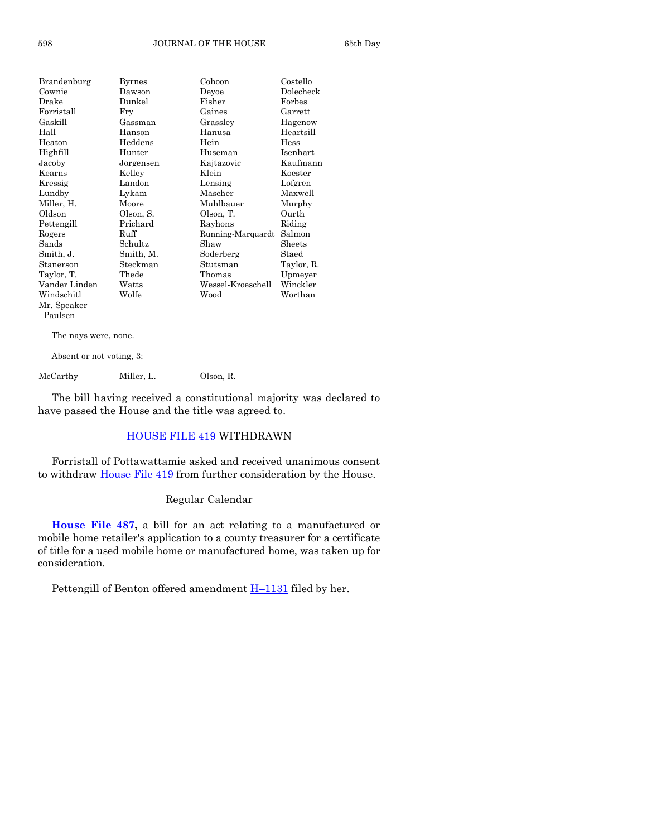| Brandenburg   | Byrnes    | Cohoon            | Costello   |
|---------------|-----------|-------------------|------------|
| Cownie        | Dawson    | Devoe             | Dolecheck  |
| Drake         | Dunkel    | Fisher            | Forbes     |
| Forristall    | Fry       | Gaines            | Garrett    |
| Gaskill       | Gassman   | Grasslev          | Hagenow    |
| Hall          | Hanson    | Hanusa            | Heartsill  |
| Heaton        | Heddens   | Hein              | Hess       |
| Highfill      | Hunter    | Huseman           | Isenhart   |
| Jacoby        | Jorgensen | Kajtazovic        | Kaufmann   |
| Kearns        | Kelley    | Klein             | Koester    |
| Kressig       | Landon    | Lensing           | Lofgren    |
| Lundby        | Lykam     | Mascher           | Maxwell    |
| Miller, H.    | Moore     | Muhlbauer         | Murphy     |
| Oldson        | Olson, S. | Olson, T.         | Ourth      |
| Pettengill    | Prichard  | Rayhons           | Riding     |
| Rogers        | Ruff      | Running-Marquardt | Salmon     |
| Sands         | Schultz   | Shaw              | Sheets     |
| Smith, J.     | Smith, M. | Soderberg         | Staed      |
| Stanerson     | Steckman  | Stutsman          | Taylor, R. |
| Taylor, T.    | Thede     | Thomas            | Upmeyer    |
| Vander Linden | Watts     | Wessel-Kroeschell | Winckler   |
| Windschitl    | Wolfe     | Wood              | Worthan    |
| Mr. Speaker   |           |                   |            |
| Paulsen       |           |                   |            |

The nays were, none.

Absent or not voting, 3:

McCarthy Miller, L. Olson, R.

The bill having received a constitutional majority was declared to have passed the House and the title was agreed to.

# [HOUSE FILE 419](http://coolice.legis.state.ia.us/Cool-ICE/default.asp?Category=billinfo&Service=Billbook&frame=1&GA=85&hbill=HF419) WITHDRAWN

Forristall of Pottawattamie asked and received unanimous consent to withdraw [House File 419](http://coolice.legis.state.ia.us/Cool-ICE/default.asp?Category=billinfo&Service=Billbook&frame=1&GA=85&hbill=HF419) from further consideration by the House.

# Regular Calendar

**[House File 487,](http://coolice.legis.state.ia.us/Cool-ICE/default.asp?Category=billinfo&Service=Billbook&frame=1&GA=85&hbill=HF487)** a bill for an act relating to a manufactured or mobile home retailer's application to a county treasurer for a certificate of title for a used mobile home or manufactured home, was taken up for consideration.

Pettengill of Benton offered amendment  $H-1131$  $H-1131$  filed by her.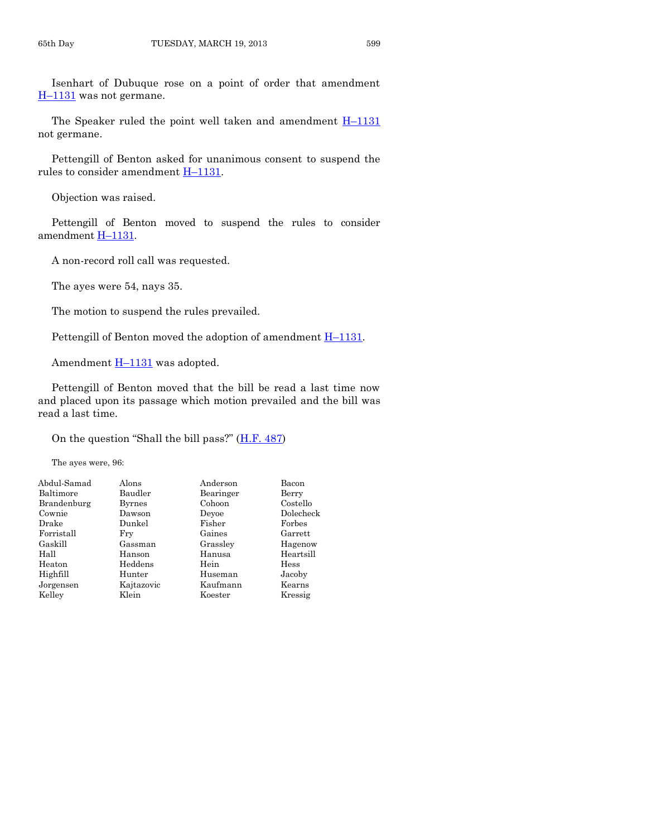Isenhart of Dubuque rose on a point of order that amendment H–[1131](http://coolice.legis.state.ia.us/Cool-ICE/default.asp?Category=billinfo&Service=Billbook&frame=1&GA=85&hbill=H1131) was not germane.

The Speaker ruled the point well taken and amendment  $H-1131$  $H-1131$ not germane.

Pettengill of Benton asked for unanimous consent to suspend the rules to consider amendment H–[1131.](http://coolice.legis.state.ia.us/Cool-ICE/default.asp?Category=billinfo&Service=Billbook&frame=1&GA=85&hbill=H1131)

Objection was raised.

Pettengill of Benton moved to suspend the rules to consider amendment H–[1131.](http://coolice.legis.state.ia.us/Cool-ICE/default.asp?Category=billinfo&Service=Billbook&frame=1&GA=85&hbill=H1131)

A non-record roll call was requested.

The ayes were 54, nays 35.

The motion to suspend the rules prevailed.

Pettengill of Benton moved the adoption of amendment  $H-1131$ .

Amendment  $H-1131$  $H-1131$  was adopted.

Pettengill of Benton moved that the bill be read a last time now and placed upon its passage which motion prevailed and the bill was read a last time.

On the question "Shall the bill pass?"  $(H.F. 487)$  $(H.F. 487)$ 

The ayes were, 96:

| Abdul-Samad | Alons      | Anderson  | Bacon     |
|-------------|------------|-----------|-----------|
| Baltimore   | Baudler    | Bearinger | Berry     |
| Brandenburg | Byrnes     | Cohoon    | Costello  |
| Cownie      | Dawson     | Devoe     | Dolecheck |
| Drake       | Dunkel     | Fisher    | Forbes    |
| Forristall  | Fry        | Gaines    | Garrett   |
| Gaskill     | Gassman    | Grassley  | Hagenow   |
| Hall        | Hanson     | Hanusa    | Heartsill |
| Heaton      | Heddens    | Hein      | Hess      |
| Highfill    | Hunter     | Huseman   | Jacoby    |
| Jorgensen   | Kajtazovic | Kaufmann  | Kearns    |
| Kelley      | Klein      | Koester   | Kressig   |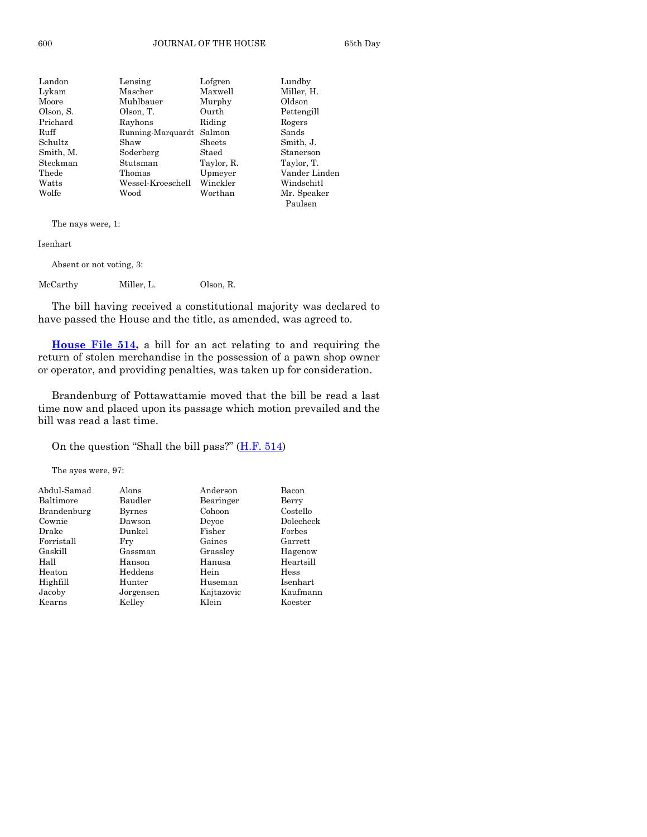| Landon    | Lensing           | Lofgren    | Lundby        |
|-----------|-------------------|------------|---------------|
| Lykam     | Mascher           | Maxwell    | Miller, H.    |
| Moore     | Muhlbauer         | Murphy     | Oldson        |
| Olson, S. | Olson, T.         | Ourth      | Pettengill    |
| Prichard  | Rayhons           | Riding     | Rogers        |
| Ruff      | Running-Marquardt | Salmon     | Sands         |
| Schultz   | Shaw              | Sheets     | Smith, J.     |
| Smith, M. | Soderberg         | Staed      | Stanerson     |
| Steckman  | Stutsman          | Taylor, R. | Taylor, T.    |
| Thede     | Thomas            | Upmeyer    | Vander Linden |
| Watts     | Wessel-Kroeschell | Winckler   | Windschitl    |
| Wolfe     | Wood              | Worthan    | Mr. Speaker   |
|           |                   |            | Paulsen       |

The nays were, 1:

Isenhart

Absent or not voting, 3:

McCarthy Miller, L. Olson, R.

The bill having received a constitutional majority was declared to have passed the House and the title, as amended, was agreed to.

**[House File 514,](http://coolice.legis.state.ia.us/Cool-ICE/default.asp?Category=billinfo&Service=Billbook&frame=1&GA=85&hbill=HF514)** a bill for an act relating to and requiring the return of stolen merchandise in the possession of a pawn shop owner or operator, and providing penalties, was taken up for consideration.

Brandenburg of Pottawattamie moved that the bill be read a last time now and placed upon its passage which motion prevailed and the bill was read a last time.

On the question "Shall the bill pass?" ([H.F. 514\)](http://coolice.legis.state.ia.us/Cool-ICE/default.asp?Category=billinfo&Service=Billbook&frame=1&GA=85&hbill=HF514)

The ayes were, 97:

| Abdul-Samad | Alons     | Anderson   | Bacon     |
|-------------|-----------|------------|-----------|
| Baltimore   | Baudler   | Bearinger  | Berry     |
| Brandenburg | Byrnes    | Cohoon     | Costello  |
| Cownie      | Dawson    | Devoe      | Dolecheck |
| Drake       | Dunkel    | Fisher     | Forbes    |
| Forristall  | Frv       | Gaines     | Garrett   |
| Gaskill     | Gassman   | Grassley   | Hagenow   |
| Hall        | Hanson    | Hanusa     | Heartsill |
| Heaton      | Heddens   | Hein       | Hess      |
| Highfill    | Hunter    | Huseman    | Isenhart  |
| Jacoby      | Jorgensen | Kajtazovic | Kaufmann  |
| Kearns      | Kellev    | Klein      | Koester   |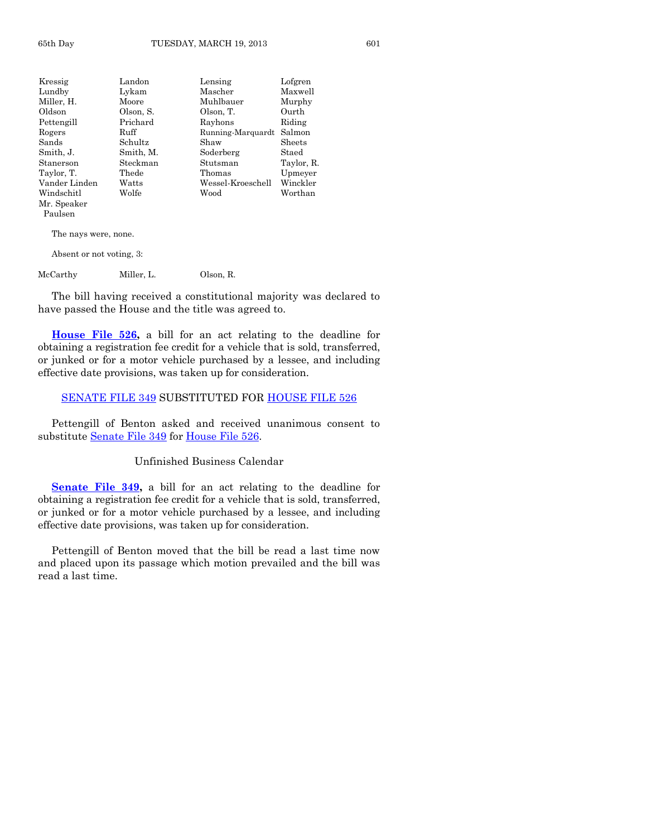| Kressig       | Landon    | Lensing           | Lofgren    |
|---------------|-----------|-------------------|------------|
| Lundby        | Lykam     | Mascher           | Maxwell    |
| Miller, H.    | Moore     | Muhlbauer         | Murphy     |
| Oldson        | Olson, S. | Olson, T.         | Ourth      |
| Pettengill    | Prichard  | Rayhons           | Riding     |
| Rogers        | Ruff      | Running-Marquardt | Salmon     |
| Sands         | Schultz   | Shaw              | Sheets     |
| Smith, J.     | Smith, M. | Soderberg         | Staed      |
| Stanerson     | Steckman  | Stutsman          | Taylor, R. |
| Taylor, T.    | Thede     | Thomas            | Upmeyer    |
| Vander Linden | Watts     | Wessel-Kroeschell | Winckler   |
| Windschitl    | Wolfe     | Wood              | Worthan    |
| Mr. Speaker   |           |                   |            |
| Paulsen       |           |                   |            |

The nays were, none.

Absent or not voting, 3:

McCarthy Miller, L. Olson, R.

The bill having received a constitutional majority was declared to have passed the House and the title was agreed to.

**[House File 526,](http://coolice.legis.state.ia.us/Cool-ICE/default.asp?Category=billinfo&Service=Billbook&frame=1&GA=85&hbill=HF526)** a bill for an act relating to the deadline for obtaining a registration fee credit for a vehicle that is sold, transferred, or junked or for a motor vehicle purchased by a lessee, and including effective date provisions, was taken up for consideration.

#### [SENATE FILE 349](http://coolice.legis.state.ia.us/Cool-ICE/default.asp?Category=billinfo&Service=Billbook&frame=1&GA=85&hbill=SF349) SUBSTITUTED FOR [HOUSE FILE 526](http://coolice.legis.state.ia.us/Cool-ICE/default.asp?Category=billinfo&Service=Billbook&frame=1&GA=85&hbill=HF526)

Pettengill of Benton asked and received unanimous consent to substitute [Senate File 349](http://coolice.legis.state.ia.us/Cool-ICE/default.asp?Category=billinfo&Service=Billbook&frame=1&GA=85&hbill=SF349) for [House File 526.](http://coolice.legis.state.ia.us/Cool-ICE/default.asp?Category=billinfo&Service=Billbook&frame=1&GA=85&hbill=HF526)

#### Unfinished Business Calendar

**[Senate File 349,](http://coolice.legis.state.ia.us/Cool-ICE/default.asp?Category=billinfo&Service=Billbook&frame=1&GA=85&hbill=SF349)** a bill for an act relating to the deadline for obtaining a registration fee credit for a vehicle that is sold, transferred, or junked or for a motor vehicle purchased by a lessee, and including effective date provisions, was taken up for consideration.

Pettengill of Benton moved that the bill be read a last time now and placed upon its passage which motion prevailed and the bill was read a last time.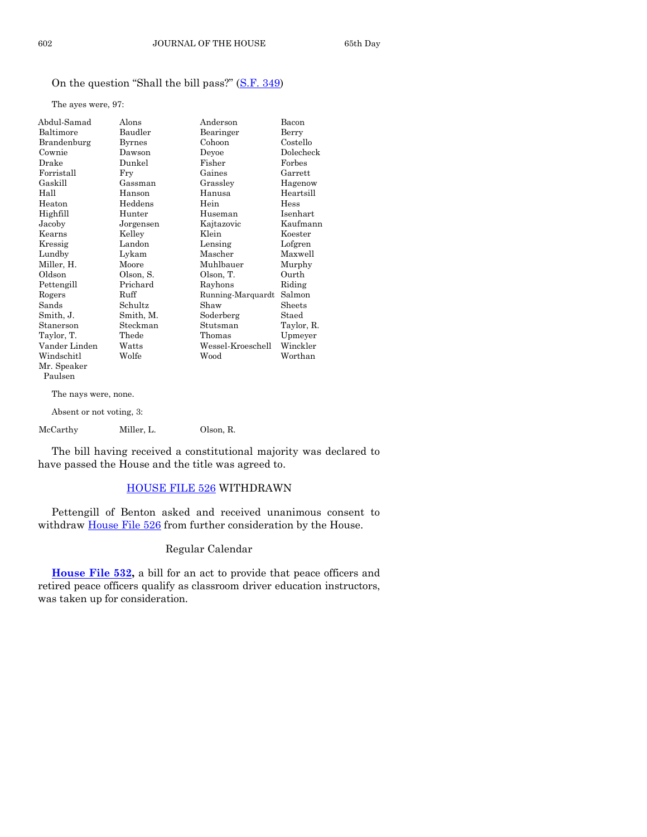# On the question "Shall the bill pass?" ([S.F. 349\)](http://coolice.legis.state.ia.us/Cool-ICE/default.asp?Category=billinfo&Service=Billbook&frame=1&GA=85&hbill=SF349)

The ayes were, 97:

| Abdul-Samad              | Alons         | Anderson          | Bacon      |
|--------------------------|---------------|-------------------|------------|
| Baltimore                | Baudler       | Bearinger         | Berry      |
| Brandenburg              | <b>Byrnes</b> | Cohoon            | Costello   |
| Cownie                   | Dawson        | Devoe             | Dolecheck  |
| Drake                    | Dunkel        | Fisher            | Forbes     |
| Forristall               | Fry           | Gaines            | Garrett    |
| Gaskill                  | Gassman       | Grasslev          | Hagenow    |
| Hall                     | Hanson        | Hanusa            | Heartsill  |
| Heaton                   | Heddens       | Hein              | Hess       |
| Highfill                 | Hunter        | Huseman           | Isenhart   |
| Jacoby                   | Jorgensen     | Kaitazovic        | Kaufmann   |
| Kearns                   | Kelley        | Klein             | Koester    |
| Kressig                  | Landon        | Lensing           | Lofgren    |
| Lundby                   | Lykam         | Mascher           | Maxwell    |
| Miller, H.               | Moore         | Muhlbauer         | Murphy     |
| Oldson                   | Olson, S.     | Olson, T.         | Ourth      |
| Pettengill               | Prichard      | Rayhons           | Riding     |
| Rogers                   | Ruff          | Running-Marquardt | Salmon     |
| Sands                    | Schultz       | Shaw              | Sheets     |
| Smith, J.                | Smith, M.     | Soderberg         | Staed      |
| Stanerson                | Steckman      | Stutsman          | Taylor, R. |
| Taylor, T.               | Thede         | Thomas            | Upmeyer    |
| Vander Linden            | Watts         | Wessel-Kroeschell | Winckler   |
| Windschitl               | Wolfe         | Wood              | Worthan    |
| Mr. Speaker              |               |                   |            |
| Paulsen                  |               |                   |            |
| The nays were, none.     |               |                   |            |
| Absent or not voting, 3: |               |                   |            |

McCarthy Miller, L. Olson, R.

The bill having received a constitutional majority was declared to have passed the House and the title was agreed to.

# [HOUSE FILE 526](http://coolice.legis.state.ia.us/Cool-ICE/default.asp?Category=billinfo&Service=Billbook&frame=1&GA=85&hbill=HF526) WITHDRAWN

Pettengill of Benton asked and received unanimous consent to withdraw **House File 526** from further consideration by the House.

#### Regular Calendar

**[House File 532,](http://coolice.legis.state.ia.us/Cool-ICE/default.asp?Category=billinfo&Service=Billbook&frame=1&GA=85&hbill=HF532)** a bill for an act to provide that peace officers and retired peace officers qualify as classroom driver education instructors, was taken up for consideration.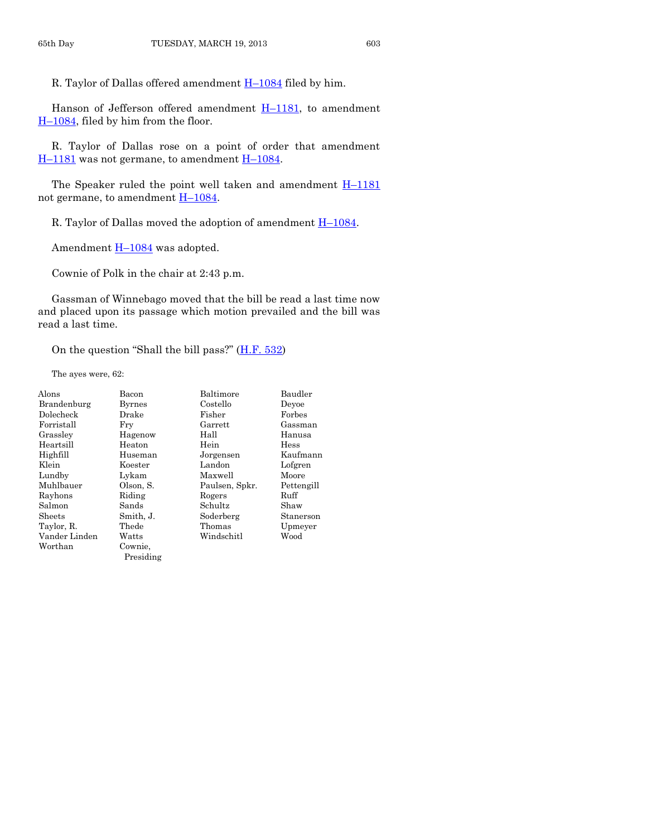R. Taylor of Dallas offered amendment  $H-1084$  $H-1084$  filed by him.

Hanson of Jefferson offered amendment  $H-1181$ , to amendment H–[1084,](http://coolice.legis.state.ia.us/Cool-ICE/default.asp?Category=billinfo&Service=Billbook&frame=1&GA=85&hbill=H1084) filed by him from the floor.

R. Taylor of Dallas rose on a point of order that amendment H–[1181](http://coolice.legis.state.ia.us/Cool-ICE/default.asp?Category=billinfo&Service=Billbook&frame=1&GA=85&hbill=H1181) was not germane, to amendment H–[1084.](http://coolice.legis.state.ia.us/Cool-ICE/default.asp?Category=billinfo&Service=Billbook&frame=1&GA=85&hbill=H1084)

The Speaker ruled the point well taken and amendment  $H-1181$  $H-1181$ not germane, to amendment  $H-1084$ .

R. Taylor of Dallas moved the adoption of amendment H–[1084.](http://coolice.legis.state.ia.us/Cool-ICE/default.asp?Category=billinfo&Service=Billbook&frame=1&GA=85&hbill=H1084)

Amendment  $H-1084$  $H-1084$  was adopted.

Cownie of Polk in the chair at 2:43 p.m.

Gassman of Winnebago moved that the bill be read a last time now and placed upon its passage which motion prevailed and the bill was read a last time.

On the question "Shall the bill pass?" ([H.F. 532\)](http://coolice.legis.state.ia.us/Cool-ICE/default.asp?Category=billinfo&Service=Billbook&frame=1&GA=85&hbill=HF532)

The ayes were, 62:

| Alons         | Bacon         | Baltimore      | Baudler    |
|---------------|---------------|----------------|------------|
| Brandenburg   | <b>Byrnes</b> | Costello       | Devoe      |
| Dolecheck     | Drake         | Fisher         | Forbes     |
| Forristall    | Frv           | $\rm{Garrett}$ | Gassman    |
| Grassley      | Hagenow       | Hall           | Hanusa     |
| Heartsill     | Heaton        | Hein           | Hess       |
| Highfill      | Huseman       | Jorgensen      | Kaufmann   |
| Klein         | Koester       | Landon         | Lofgren    |
| Lundby        | Lykam         | Maxwell        | Moore      |
| Muhlbauer     | Olson, S.     | Paulsen, Spkr. | Pettengill |
| Rayhons       | Riding        | Rogers         | Ruff       |
| Salmon        | Sands         | Schultz        | Shaw       |
| Sheets        | Smith, J.     | Soderberg      | Stanerson  |
| Taylor, R.    | Thede         | Thomas         | Upmeyer    |
| Vander Linden | Watts         | Windschitl     | Wood       |
| Worthan       | Cownie,       |                |            |
|               | Presiding     |                |            |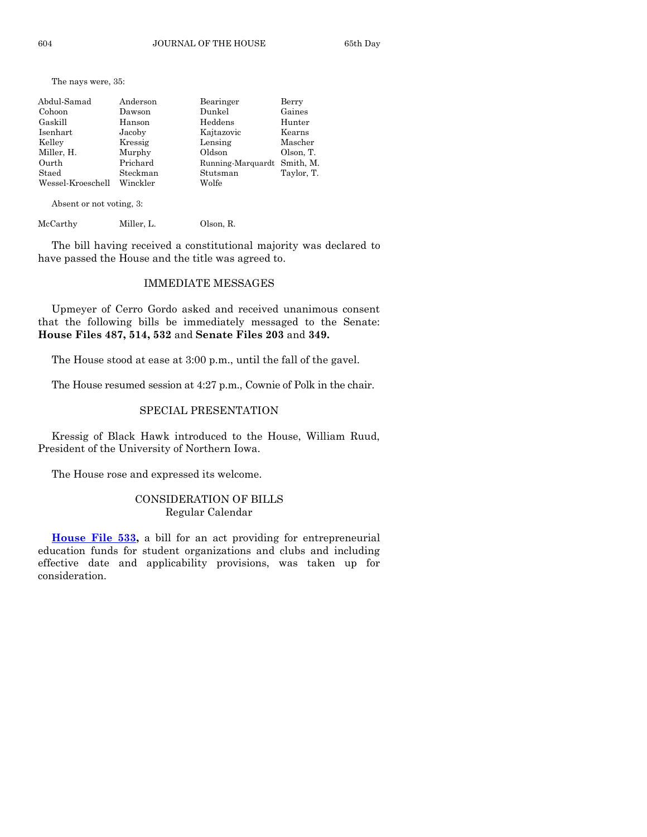The nays were, 35:

| Abdul-Samad       | Anderson | Bearinger                   | Berry      |
|-------------------|----------|-----------------------------|------------|
| Cohoon            | Dawson   | Dunkel                      | Gaines     |
| Gaskill           | Hanson   | Heddens                     | Hunter     |
| Isenhart          | Jacoby   | Kajtazovic                  | Kearns     |
| Kelley            | Kressig  | Lensing                     | Mascher    |
| Miller, H.        | Murphy   | Oldson                      | Olson, T.  |
| Ourth             | Prichard | Running-Marquardt Smith, M. |            |
| Staed             | Steckman | Stutsman                    | Taylor, T. |
| Wessel-Kroeschell | Winckler | Wolfe                       |            |

Absent or not voting, 3:

| McCarthy | Miller. L. | Olson, R. |
|----------|------------|-----------|
|          |            |           |

The bill having received a constitutional majority was declared to have passed the House and the title was agreed to.

## IMMEDIATE MESSAGES

Upmeyer of Cerro Gordo asked and received unanimous consent that the following bills be immediately messaged to the Senate: **House Files 487, 514, 532** and **Senate Files 203** and **349.**

The House stood at ease at 3:00 p.m., until the fall of the gavel.

The House resumed session at 4:27 p.m., Cownie of Polk in the chair.

#### SPECIAL PRESENTATION

Kressig of Black Hawk introduced to the House, William Ruud, President of the University of Northern Iowa.

The House rose and expressed its welcome.

# CONSIDERATION OF BILLS Regular Calendar

**[House File 533,](http://coolice.legis.state.ia.us/Cool-ICE/default.asp?Category=billinfo&Service=Billbook&frame=1&GA=85&hbill=HF533)** a bill for an act providing for entrepreneurial education funds for student organizations and clubs and including effective date and applicability provisions, was taken up for consideration.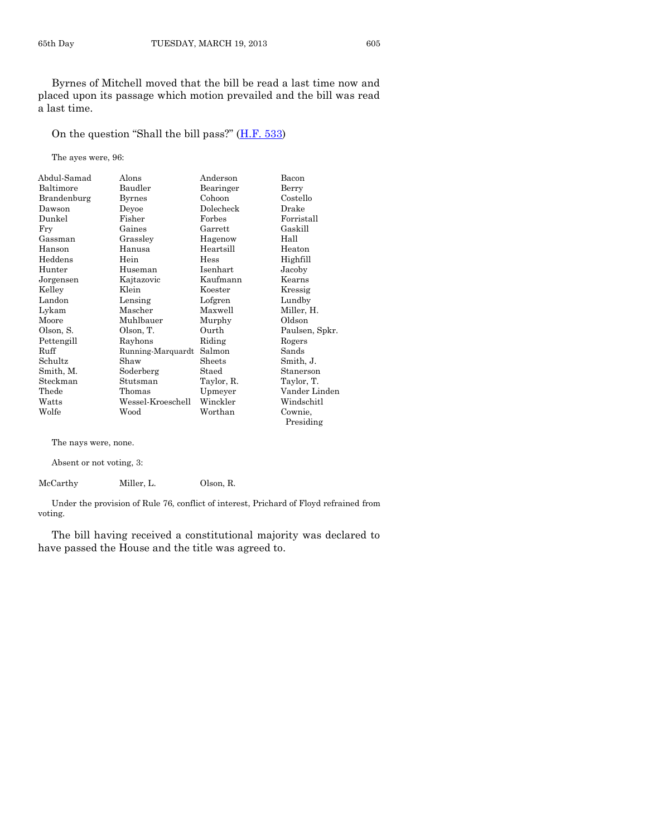Byrnes of Mitchell moved that the bill be read a last time now and placed upon its passage which motion prevailed and the bill was read a last time.

On the question "Shall the bill pass?" ([H.F. 533\)](http://coolice.legis.state.ia.us/Cool-ICE/default.asp?Category=billinfo&Service=Billbook&frame=1&GA=85&hbill=HF533)

The ayes were, 96:

| Abdul-Samad | Alons             | Anderson   | Bacon          |
|-------------|-------------------|------------|----------------|
| Baltimore   | Baudler           | Bearinger  | Berry          |
| Brandenburg | Byrnes            | Cohoon     | Costello       |
| Dawson      | Devoe             | Dolecheck  | Drake          |
| Dunkel      | Fisher            | Forbes     | Forristall     |
| Fry         | Gaines            | Garrett    | Gaskill        |
| Gassman     | Grassley          | Hagenow    | Hall           |
| Hanson      | Hanusa            | Heartsill  | Heaton         |
| Heddens     | Hein              | Hess       | Highfill       |
| Hunter      | Huseman           | Isenhart   | Jacoby         |
| Jorgensen   | Kajtazovic        | Kaufmann   | Kearns         |
| Kelley      | Klein             | Koester    | Kressig        |
| Landon      | Lensing           | Lofgren    | Lundby         |
| Lykam       | Mascher           | Maxwell    | Miller, H.     |
| Moore       | Muhlbauer         | Murphy     | Oldson         |
| Olson, S.   | Olson, T.         | Ourth      | Paulsen, Spkr. |
| Pettengill  | Rayhons           | Riding     | Rogers         |
| Ruff        | Running-Marquardt | Salmon     | Sands          |
| Schultz     | Shaw              | Sheets     | Smith, J.      |
| Smith, M.   | Soderberg         | Staed      | Stanerson      |
| Steckman    | Stutsman          | Taylor, R. | Taylor, T.     |
| Thede       | Thomas            | Upmeyer    | Vander Linden  |
| Watts       | Wessel-Kroeschell | Winckler   | Windschitl     |
| Wolfe       | Wood              | Worthan    | Cownie.        |
|             |                   |            | Presiding      |

The nays were, none.

Absent or not voting, 3:

McCarthy Miller, L. Olson, R.

Under the provision of Rule 76, conflict of interest, Prichard of Floyd refrained from voting.

The bill having received a constitutional majority was declared to have passed the House and the title was agreed to.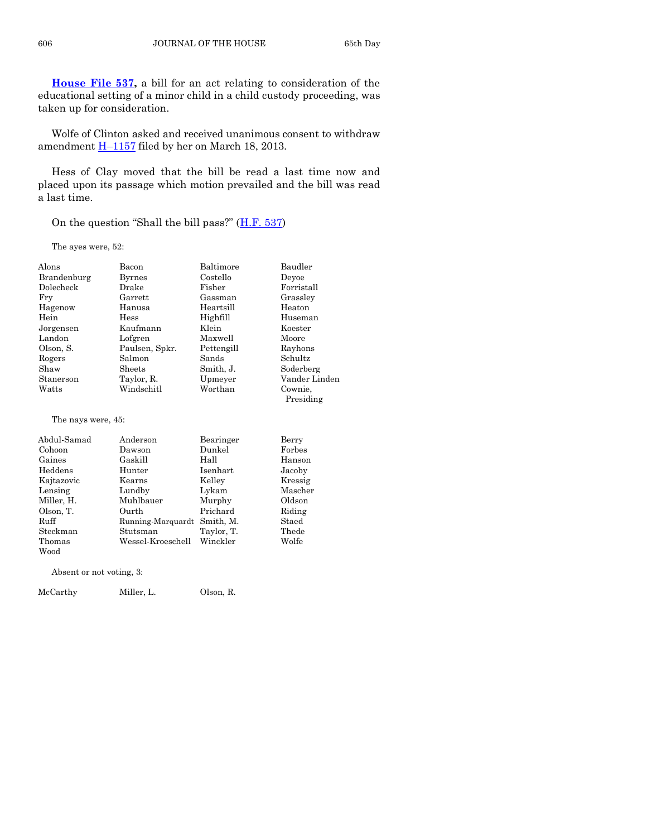**[House File 537,](http://coolice.legis.state.ia.us/Cool-ICE/default.asp?Category=billinfo&Service=Billbook&frame=1&GA=85&hbill=HF537)** a bill for an act relating to consideration of the educational setting of a minor child in a child custody proceeding, was taken up for consideration.

Wolfe of Clinton asked and received unanimous consent to withdraw amendment H–[1157](http://coolice.legis.state.ia.us/Cool-ICE/default.asp?Category=billinfo&Service=Billbook&frame=1&GA=85&hbill=H1157) filed by her on March 18, 2013.

Hess of Clay moved that the bill be read a last time now and placed upon its passage which motion prevailed and the bill was read a last time.

On the question "Shall the bill pass?" ([H.F. 537\)](http://coolice.legis.state.ia.us/Cool-ICE/default.asp?Category=billinfo&Service=Billbook&frame=1&GA=85&hbill=HF537)

The ayes were, 52:

| Alons       | Bacon          | Baltimore  | Baudler       |
|-------------|----------------|------------|---------------|
| Brandenburg | <b>Byrnes</b>  | Costello   | Devoe         |
| Dolecheck   | Drake          | Fisher     | Forristall    |
| Frv         | Garrett        | Gassman    | Grassley      |
| Hagenow     | Hanusa         | Heartsill  | Heaton        |
| Hein        | <b>Hess</b>    | Highfill   | Huseman       |
| Jorgensen   | Kaufmann       | Klein      | Koester       |
| Landon      | Lofgren        | Maxwell    | Moore         |
| Olson, S.   | Paulsen, Spkr. | Pettengill | Rayhons       |
| Rogers      | Salmon         | Sands      | Schultz       |
| Shaw        | Sheets         | Smith, J.  | Soderberg     |
| Stanerson   | Taylor, R.     | Upmeyer    | Vander Linden |
| Watts       | Windschitl     | Worthan    | Cownie,       |
|             |                |            | Presiding     |

#### The nays were, 45:

| Abdul-Samad | Anderson          | Bearinger  | Berry   |
|-------------|-------------------|------------|---------|
| Cohoon      | Dawson            | Dunkel     | Forbes  |
| Gaines      | Gaskill           | Hall       | Hanson  |
| Heddens     | Hunter            | Isenhart   | Jacoby  |
| Kajtazovic  | Kearns            | Kelley     | Kressig |
| Lensing     | Lundby            | Lykam      | Mascher |
| Miller, H.  | Muhlbauer         | Murphy     | Oldson  |
| Olson, T.   | Ourth             | Prichard   | Riding  |
| Ruff        | Running-Marquardt | Smith, M.  | Staed   |
| Steckman    | Stutsman          | Taylor, T. | Thede   |
| Thomas      | Wessel-Kroeschell | Winckler   | Wolfe   |
| Wood        |                   |            |         |

Absent or not voting, 3:

McCarthy Miller, L. Olson, R.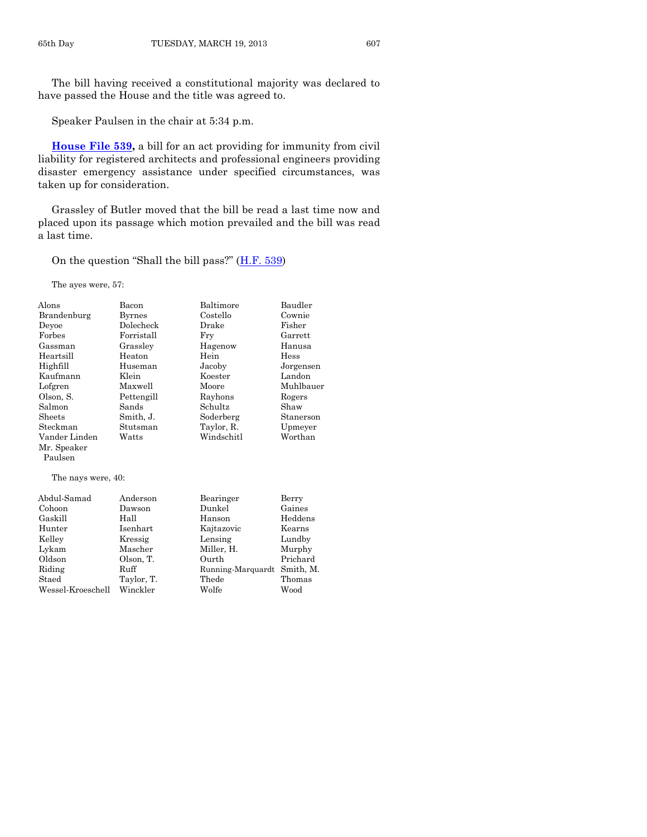The bill having received a constitutional majority was declared to have passed the House and the title was agreed to.

Speaker Paulsen in the chair at 5:34 p.m.

**[House File 539,](http://coolice.legis.state.ia.us/Cool-ICE/default.asp?Category=billinfo&Service=Billbook&frame=1&GA=85&hbill=HF539)** a bill for an act providing for immunity from civil liability for registered architects and professional engineers providing disaster emergency assistance under specified circumstances, was taken up for consideration.

Grassley of Butler moved that the bill be read a last time now and placed upon its passage which motion prevailed and the bill was read a last time.

On the question "Shall the bill pass?" ([H.F. 539\)](http://coolice.legis.state.ia.us/Cool-ICE/default.asp?Category=billinfo&Service=Billbook&frame=1&GA=85&hbill=HF539)

The ayes were, 57:

| Alons              | Bacon         | Baltimore         | Baudler   |
|--------------------|---------------|-------------------|-----------|
| Brandenburg        | <b>Byrnes</b> | Costello          | Cownie    |
| Devoe              | Dolecheck     | Drake             | Fisher    |
| Forbes             | Forristall    | Fry               | Garrett   |
| Gassman            | Grassley      | Hagenow           | Hanusa    |
| Heartsill          | Heaton        | Hein              | Hess      |
| Highfill           | Huseman       | Jacoby            | Jorgensen |
| Kaufmann           | Klein         | Koester           | Landon    |
| Lofgren            | Maxwell       | Moore             | Muhlbauer |
| Olson, S.          | Pettengill    | Rayhons           | Rogers    |
| Salmon             | Sands         | Schultz           | Shaw      |
| Sheets             | Smith, J.     | Soderberg         | Stanerson |
| Steckman           | Stutsman      | Taylor, R.        | Upmeyer   |
| Vander Linden      | Watts         | Windschitl        | Worthan   |
| Mr. Speaker        |               |                   |           |
| Paulsen            |               |                   |           |
| The nays were, 40: |               |                   |           |
| Abdul-Samad        | Anderson      | Bearinger         | Berry     |
| Cohoon             | Dawson        | Dunkel            | Gaines    |
| Gaskill            | Hall          | Hanson            | Heddens   |
| Hunter             | Isenhart      | Kajtazovic        | Kearns    |
| Kelley             | Kressig       | Lensing           | Lundby    |
| Lykam              | Mascher       | Miller, H.        | Murphy    |
| Oldson             | Olson, T.     | Ourth             | Prichard  |
| Riding             | Ruff          | Running-Marquardt | Smith, M. |
| Staed              | Taylor, T.    | Thede             | Thomas    |
| Wessel-Kroeschell  | Winckler      | Wolfe             | Wood      |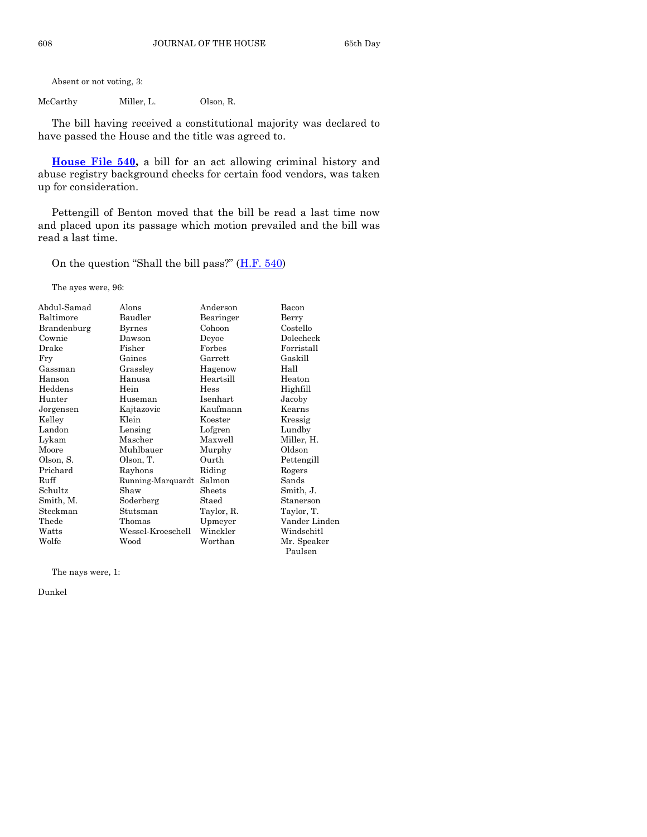Absent or not voting, 3:

McCarthy Miller, L. Olson, R.

The bill having received a constitutional majority was declared to have passed the House and the title was agreed to.

**[House File 540,](http://coolice.legis.state.ia.us/Cool-ICE/default.asp?Category=billinfo&Service=Billbook&frame=1&GA=85&hbill=HF540)** a bill for an act allowing criminal history and abuse registry background checks for certain food vendors, was taken up for consideration.

Pettengill of Benton moved that the bill be read a last time now and placed upon its passage which motion prevailed and the bill was read a last time.

On the question "Shall the bill pass?"  $(H.F. 540)$  $(H.F. 540)$ 

The ayes were, 96:

| Abdul-Samad | Alons             | Anderson       | Bacon         |
|-------------|-------------------|----------------|---------------|
| Baltimore   | Baudler           | Bearinger      | Berry         |
| Brandenburg | Byrnes            | Cohoon         | Costello      |
| Cownie      | Dawson            | Deyoe          | Dolecheck     |
| Drake       | Fisher            | Forbes         | Forristall    |
| Fry         | Gaines            | $\rm{Garrett}$ | Gaskill       |
| Gassman     | Grasslev          | Hagenow        | Hall          |
| Hanson      | Hanusa            | Heartsill      | Heaton        |
| Heddens     | Hein              | Hess           | Highfill      |
| Hunter      | Huseman           | Isenhart       | Jacoby        |
| Jorgensen   | Kajtazovic        | Kaufmann       | Kearns        |
| Kelley      | Klein             | Koester        | Kressig       |
| Landon      | Lensing           | Lofgren        | Lundby        |
| Lykam       | Mascher           | Maxwell        | Miller, H.    |
| Moore       | Muhlbauer         | Murphy         | Oldson        |
| Olson, S.   | Olson, T.         | Ourth          | Pettengill    |
| Prichard    | Rayhons           | Riding         | Rogers        |
| Ruff        | Running-Marquardt | Salmon         | Sands         |
| Schultz     | Shaw              | Sheets         | Smith, J.     |
| Smith, M.   | Soderberg         | Staed          | Stanerson     |
| Steckman    | Stutsman          | Taylor, R.     | Taylor, T.    |
| Thede       | Thomas            | Upmeyer        | Vander Linden |
| Watts       | Wessel-Kroeschell | Winckler       | Windschitl    |
| Wolfe       | Wood              | Worthan        | Mr. Speaker   |
|             |                   |                | Paulsen       |

The nays were, 1:

Dunkel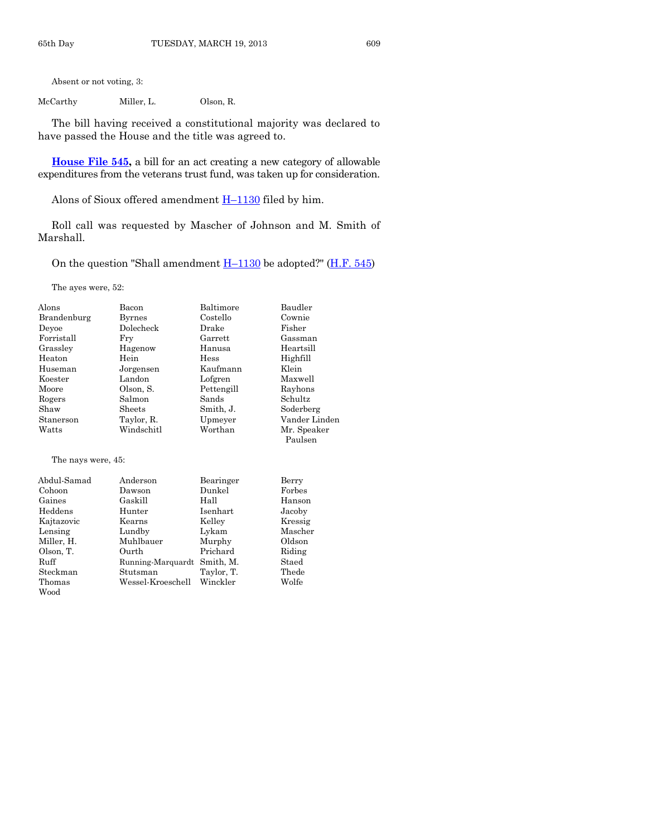Absent or not voting, 3:

McCarthy Miller, L. Olson, R.

The bill having received a constitutional majority was declared to have passed the House and the title was agreed to.

**[House File 545,](http://coolice.legis.state.ia.us/Cool-ICE/default.asp?Category=billinfo&Service=Billbook&frame=1&GA=85&hbill=HF545)** a bill for an act creating a new category of allowable expenditures from the veterans trust fund, was taken up for consideration.

Alons of Sioux offered amendment  $H-1130$  $H-1130$  filed by him.

Roll call was requested by Mascher of Johnson and M. Smith of Marshall.

On the question "Shall amendment  $H-1130$  $H-1130$  be adopted?" ( $H.F. 545$ )

The ayes were, 52:

| Alons                                | Bacon         | Baltimore   | Baudler                |
|--------------------------------------|---------------|-------------|------------------------|
| Brandenburg                          | <b>Byrnes</b> | Costello    | Cownie                 |
| Devoe                                | Dolecheck     | Drake       | Fisher                 |
| Forristall                           | Frv           | Garrett     | Gassman                |
| Grassley                             | Hagenow       | Hanusa      | Heartsill              |
| Heaton                               | Hein          | <b>Hess</b> | Highfill               |
| Huseman                              | Jorgensen     | Kaufmann    | Klein                  |
| Koester                              | Landon        | Lofgren     | Maxwell                |
| Moore                                | Olson, S.     | Pettengill  | Rayhons                |
| Rogers                               | Salmon        | Sands       | Schultz                |
| Shaw                                 | Sheets        | Smith, J.   | Soderberg              |
| Stanerson                            | Taylor, R.    | Upmeyer     | Vander Linden          |
| Watts                                | Windschitl    | Worthan     | Mr. Speaker<br>Paulsen |
| The nays were, 45:                   |               |             |                        |
| $\lambda$ 111 $\alpha$ 1 $\lambda$ 1 |               |             | $\mathbf{n}$ .         |

| Abdul-Samad | Anderson          | Bearinger  | Berry   |
|-------------|-------------------|------------|---------|
| Cohoon      | Dawson            | Dunkel     | Forbes  |
| Gaines      | Gaskill           | Hall       | Hanson  |
| Heddens     | Hunter            | Isenhart   | Jacoby  |
| Kajtazovic  | Kearns            | Kelley     | Kressig |
| Lensing     | Lundby            | Lykam      | Mascher |
| Miller, H.  | Muhlbauer         | Murphy     | Oldson  |
| Olson, T.   | Ourth             | Prichard   | Riding  |
| Ruff        | Running-Marquardt | Smith, M.  | Staed   |
| Steckman    | Stutsman          | Taylor, T. | Thede   |
| Thomas      | Wessel-Kroeschell | Winckler   | Wolfe   |
| Wood        |                   |            |         |
|             |                   |            |         |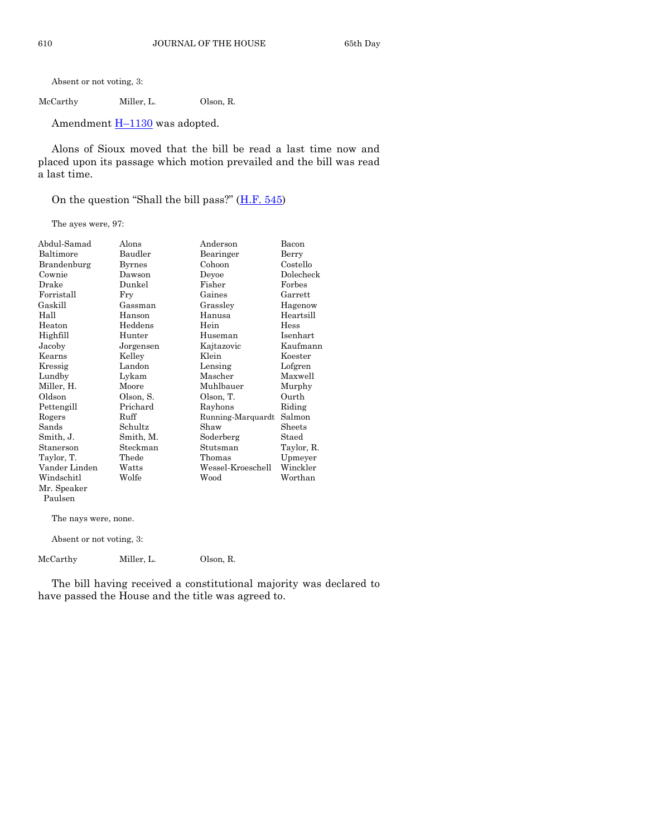Absent or not voting, 3:

McCarthy Miller, L. Olson, R.

Amendment  $H-1130$  $H-1130$  was adopted.

Alons of Sioux moved that the bill be read a last time now and placed upon its passage which motion prevailed and the bill was read a last time.

On the question "Shall the bill pass?" ([H.F. 545\)](http://coolice.legis.state.ia.us/Cool-ICE/default.asp?Category=billinfo&Service=Billbook&frame=1&GA=85&hbill=HF545)

The ayes were, 97:

| Abdul-Samad   | Alons         | Anderson          | Bacon           |
|---------------|---------------|-------------------|-----------------|
| Baltimore     | Baudler       | Bearinger         | Berry           |
| Brandenburg   | <b>Byrnes</b> | Cohoon            | Costello        |
| Cownie        | Dawson        | Deyoe             | Dolecheck       |
| Drake         | Dunkel        | Fisher            | Forbes          |
| Forristall    | Fry           | Gaines            | Garrett         |
| Gaskill       | Gassman       | Grassley          | Hagenow         |
| Hall          | Hanson        | Hanusa            | Heartsill       |
| Heaton        | Heddens       | Hein              | Hess            |
| Highfill      | Hunter        | Huseman           | <b>Isenhart</b> |
| Jacoby        | Jorgensen     | Kajtazovic        | Kaufmann        |
| Kearns        | Kelley        | Klein             | Koester         |
| Kressig       | Landon        | Lensing           | Lofgren         |
| Lundby        | Lykam         | Mascher           | Maxwell         |
| Miller, H.    | Moore         | Muhlbauer         | Murphy          |
| Oldson        | Olson, S.     | Olson, T.         | Ourth           |
| Pettengill    | Prichard      | Rayhons           | Riding          |
| Rogers        | Ruff          | Running-Marquardt | Salmon          |
| Sands         | Schultz       | Shaw              | Sheets          |
| Smith, J.     | Smith, M.     | Soderberg         | Staed           |
| Stanerson     | Steckman      | Stutsman          | Taylor, R.      |
| Taylor, T.    | Thede         | Thomas            | Upmeyer         |
| Vander Linden | Watts         | Wessel-Kroeschell | Winckler        |
| Windschitl    | Wolfe         | Wood              | Worthan         |
| Mr. Speaker   |               |                   |                 |
| Paulsen       |               |                   |                 |
|               |               |                   |                 |

The nays were, none.

Absent or not voting, 3:

McCarthy Miller, L. Olson, R.

The bill having received a constitutional majority was declared to have passed the House and the title was agreed to.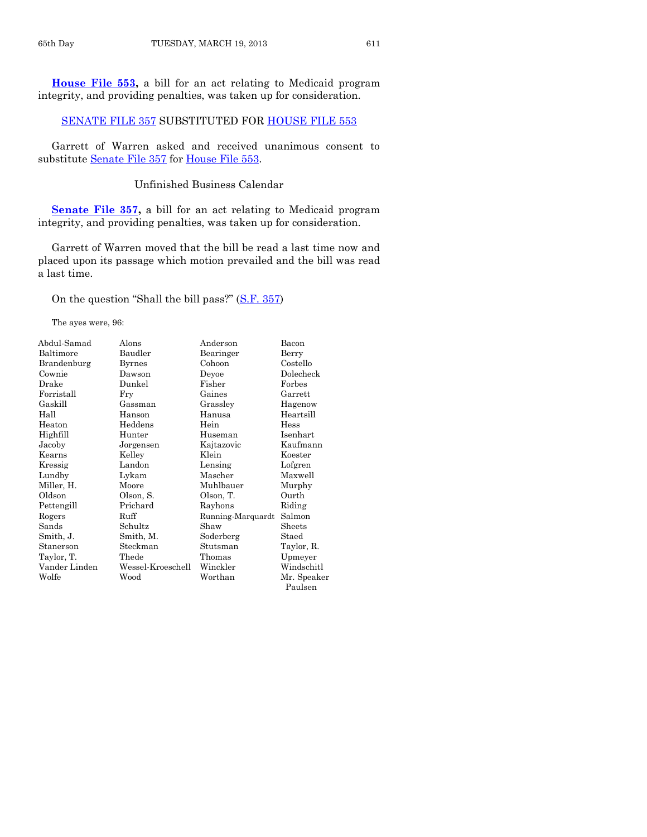**[House File 553,](http://coolice.legis.state.ia.us/Cool-ICE/default.asp?Category=billinfo&Service=Billbook&frame=1&GA=85&hbill=HF553)** a bill for an act relating to Medicaid program integrity, and providing penalties, was taken up for consideration.

#### [SENATE FILE 357](http://coolice.legis.state.ia.us/Cool-ICE/default.asp?Category=billinfo&Service=Billbook&frame=1&GA=85&hbill=SF357) SUBSTITUTED FOR [HOUSE FILE 553](http://coolice.legis.state.ia.us/Cool-ICE/default.asp?Category=billinfo&Service=Billbook&frame=1&GA=85&hbill=HF553)

Garrett of Warren asked and received unanimous consent to substitute [Senate File 357](http://coolice.legis.state.ia.us/Cool-ICE/default.asp?Category=billinfo&Service=Billbook&frame=1&GA=85&hbill=SF357) for [House File 553.](http://coolice.legis.state.ia.us/Cool-ICE/default.asp?Category=billinfo&Service=Billbook&frame=1&GA=85&hbill=HF553)

#### Unfinished Business Calendar

**[Senate File 357,](http://coolice.legis.state.ia.us/Cool-ICE/default.asp?Category=billinfo&Service=Billbook&frame=1&GA=85&hbill=SF357)** a bill for an act relating to Medicaid program integrity, and providing penalties, was taken up for consideration.

Garrett of Warren moved that the bill be read a last time now and placed upon its passage which motion prevailed and the bill was read a last time.

On the question "Shall the bill pass?" ([S.F. 357\)](http://coolice.legis.state.ia.us/Cool-ICE/default.asp?Category=billinfo&Service=Billbook&frame=1&GA=85&hbill=SF357)

The ayes were, 96:

| Abdul-Samad   | Alons             | Anderson          | Bacon       |
|---------------|-------------------|-------------------|-------------|
| Baltimore     | Baudler           | Bearinger         | Berry       |
| Brandenburg   | Byrnes            | Cohoon            | Costello    |
| Cownie        | Dawson            | Devoe             | Dolecheck   |
| Drake         | Dunkel            | Fisher            | Forbes      |
| Forristall    | Fry               | Gaines            | Garrett     |
| Gaskill       | Gassman           | Grasslev          | Hagenow     |
| Hall          | Hanson            | Hanusa            | Heartsill   |
| Heaton        | Heddens           | Hein              | Hess        |
| Highfill      | Hunter            | Huseman           | Isenhart    |
| Jacoby        | Jorgensen         | Kajtazovic        | Kaufmann    |
| Kearns        | Kelley            | Klein             | Koester     |
| Kressig       | Landon            | Lensing           | Lofgren     |
| Lundby        | Lykam             | Mascher           | Maxwell     |
| Miller, H.    | Moore             | Muhlbauer         | Murphy      |
| Oldson        | Olson, S.         | Olson, T.         | Ourth       |
| Pettengill    | Prichard          | Rayhons           | Riding      |
| Rogers        | Ruff              | Running-Marquardt | Salmon      |
| Sands         | Schultz           | Shaw              | Sheets      |
| Smith, J.     | Smith, M.         | Soderberg         | Staed       |
| Stanerson     | Steckman          | Stutsman          | Taylor, R.  |
| Taylor, T.    | Thede             | Thomas            | Upmeyer     |
| Vander Linden | Wessel-Kroeschell | Winckler          | Windschitl  |
| Wolfe         | Wood              | Worthan           | Mr. Speaker |
|               |                   |                   | Paulsen     |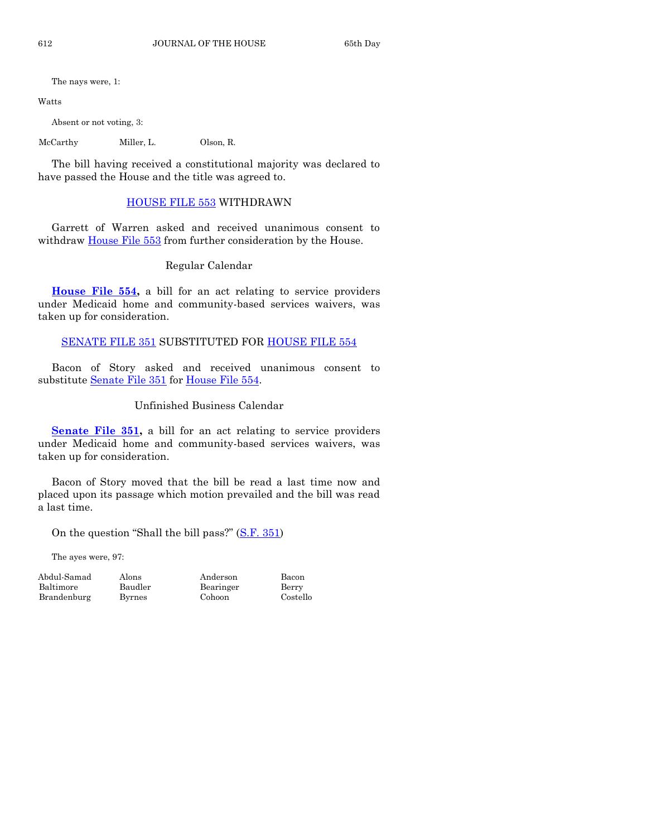The nays were, 1:

Watts

Absent or not voting, 3:

McCarthy Miller, L. Olson, R.

The bill having received a constitutional majority was declared to have passed the House and the title was agreed to.

# [HOUSE FILE 553](http://coolice.legis.state.ia.us/Cool-ICE/default.asp?Category=billinfo&Service=Billbook&frame=1&GA=85&hbill=HF553) WITHDRAWN

Garrett of Warren asked and received unanimous consent to withdraw [House File 553](http://coolice.legis.state.ia.us/Cool-ICE/default.asp?Category=billinfo&Service=Billbook&frame=1&GA=85&hbill=HF553) from further consideration by the House.

Regular Calendar

**[House File 554,](http://coolice.legis.state.ia.us/Cool-ICE/default.asp?Category=billinfo&Service=Billbook&frame=1&GA=85&hbill=HF554)** a bill for an act relating to service providers under Medicaid home and community-based services waivers, was taken up for consideration.

# [SENATE FILE 351](http://coolice.legis.state.ia.us/Cool-ICE/default.asp?Category=billinfo&Service=Billbook&frame=1&GA=85&hbill=SF351) SUBSTITUTED FOR [HOUSE FILE 554](http://coolice.legis.state.ia.us/Cool-ICE/default.asp?Category=billinfo&Service=Billbook&frame=1&GA=85&hbill=HF554)

Bacon of Story asked and received unanimous consent to substitute [Senate File 351](http://coolice.legis.state.ia.us/Cool-ICE/default.asp?Category=billinfo&Service=Billbook&frame=1&GA=85&hbill=SF351) for [House File 554.](http://coolice.legis.state.ia.us/Cool-ICE/default.asp?Category=billinfo&Service=Billbook&frame=1&GA=85&hbill=HF554)

# Unfinished Business Calendar

**[Senate File 351,](http://coolice.legis.state.ia.us/Cool-ICE/default.asp?Category=billinfo&Service=Billbook&frame=1&GA=85&hbill=SF351)** a bill for an act relating to service providers under Medicaid home and community-based services waivers, was taken up for consideration.

Bacon of Story moved that the bill be read a last time now and placed upon its passage which motion prevailed and the bill was read a last time.

On the question "Shall the bill pass?" ([S.F. 351\)](http://coolice.legis.state.ia.us/Cool-ICE/default.asp?Category=billinfo&Service=Billbook&frame=1&GA=85&hbill=SF351)

The ayes were, 97:

Baltimore Baudler Bearinger Berry Brandenburg Byrnes Cohoon Costello

Abdul-Samad Alons Anderson Bacon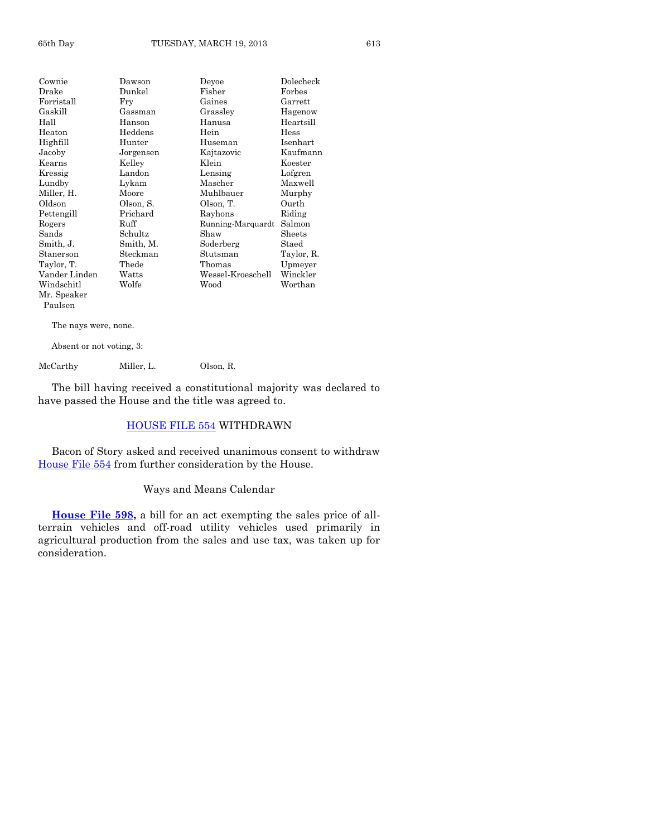| Cownie        | Dawson    | Devoe             | Dolecheck  |
|---------------|-----------|-------------------|------------|
| Drake         | Dunkel    | Fisher            | Forbes     |
| Forristall    | Fry       | Gaines            | Garrett    |
| Gaskill       | Gassman   | Grassley          | Hagenow    |
| Hall          | Hanson    | Hanusa            | Heartsill  |
| Heaton        | Heddens   | Hein              | Hess       |
| Highfill      | Hunter    | Huseman           | Isenhart   |
| Jacoby        | Jorgensen | Kajtazovic        | Kaufmann   |
| Kearns        | Kelley    | Klein             | Koester    |
| Kressig       | Landon    | Lensing           | Lofgren    |
| Lundby        | Lykam     | Mascher           | Maxwell    |
| Miller, H.    | Moore     | Muhlbauer         | Murphy     |
| Oldson        | Olson, S. | Olson, T.         | Ourth      |
| Pettengill    | Prichard  | Rayhons           | Riding     |
| Rogers        | Ruff      | Running-Marquardt | Salmon     |
| Sands         | Schultz   | Shaw              | Sheets     |
| Smith, J.     | Smith, M. | Soderberg         | Staed      |
| Stanerson     | Steckman  | Stutsman          | Taylor, R. |
| Taylor, T.    | Thede     | Thomas            | Upmeyer    |
| Vander Linden | Watts     | Wessel-Kroeschell | Winckler   |
| Windschitl    | Wolfe     | Wood              | Worthan    |
| Mr. Speaker   |           |                   |            |
| Paulsen       |           |                   |            |

The nays were, none.

Absent or not voting, 3:

McCarthy Miller, L. Olson, R.

The bill having received a constitutional majority was declared to have passed the House and the title was agreed to.

# [HOUSE FILE 554](http://coolice.legis.state.ia.us/Cool-ICE/default.asp?Category=billinfo&Service=Billbook&frame=1&GA=85&hbill=HF554) WITHDRAWN

Bacon of Story asked and received unanimous consent to withdraw [House File 554](http://coolice.legis.state.ia.us/Cool-ICE/default.asp?Category=billinfo&Service=Billbook&frame=1&GA=85&hbill=HF554) from further consideration by the House.

# Ways and Means Calendar

**[House File 598,](http://coolice.legis.state.ia.us/Cool-ICE/default.asp?Category=billinfo&Service=Billbook&frame=1&GA=85&hbill=HF598)** a bill for an act exempting the sales price of allterrain vehicles and off-road utility vehicles used primarily in agricultural production from the sales and use tax, was taken up for consideration.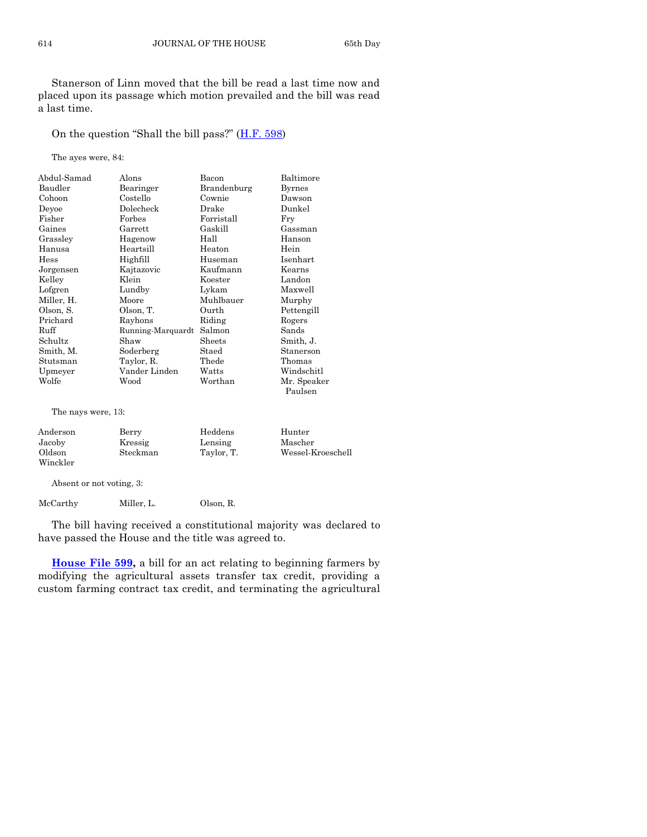Stanerson of Linn moved that the bill be read a last time now and placed upon its passage which motion prevailed and the bill was read a last time.

On the question "Shall the bill pass?" ([H.F. 598\)](http://coolice.legis.state.ia.us/Cool-ICE/default.asp?Category=billinfo&Service=Billbook&frame=1&GA=85&hbill=HF598)

The ayes were, 84:

| Abdul-Samad<br>Baudler | Alons<br>Bearinger | Bacon<br>Brandenburg | Baltimore<br><b>Byrnes</b> |
|------------------------|--------------------|----------------------|----------------------------|
| Cohoon                 | Costello           | Cownie               | Dawson                     |
| Deyoe                  | Dolecheck          | Drake                | Dunkel                     |
| Fisher                 | Forbes             | Forristall           | Fry                        |
| Gaines                 | Garrett            | Gaskill              | Gassman                    |
| Grassley               | Hagenow            | Hall                 | Hanson                     |
| Hanusa                 | Heartsill          | Heaton               | Hein                       |
| Hess                   | Highfill           | Huseman              | Isenhart                   |
| Jorgensen              | Kajtazovic         | Kaufmann             | Kearns                     |
| Kelley                 | Klein              | Koester              | Landon                     |
| Lofgren                | Lundby             | Lykam                | Maxwell                    |
| Miller, H.             | Moore              | Muhlbauer            | Murphy                     |
| Olson, S.              | Olson, T.          | Ourth                | Pettengill                 |
| Prichard               | Rayhons            | Riding               | Rogers                     |
| Ruff                   | Running-Marquardt  | Salmon               | Sands                      |
| Schultz                | Shaw               | Sheets               | Smith, J.                  |
| Smith, M.              | Soderberg          | Staed                | Stanerson                  |
| Stutsman               | Taylor, R.         | Thede                | Thomas                     |
| Upmeyer                | Vander Linden      | Watts                | Windschitl                 |
| Wolfe                  | Wood               | Worthan              | Mr. Speaker<br>Paulsen     |

The nays were, 13:

| Anderson | Berry    | Heddens    | Hunter            |
|----------|----------|------------|-------------------|
| Jacoby   | Kressig  | Lensing    | Mascher           |
| Oldson   | Steckman | Taylor, T. | Wessel-Kroeschell |
| Winckler |          |            |                   |

Absent or not voting, 3:

McCarthy Miller, L. Olson, R.

The bill having received a constitutional majority was declared to have passed the House and the title was agreed to.

**[House File 599,](http://coolice.legis.state.ia.us/Cool-ICE/default.asp?Category=billinfo&Service=Billbook&frame=1&GA=85&hbill=HF599)** a bill for an act relating to beginning farmers by modifying the agricultural assets transfer tax credit, providing a custom farming contract tax credit, and terminating the agricultural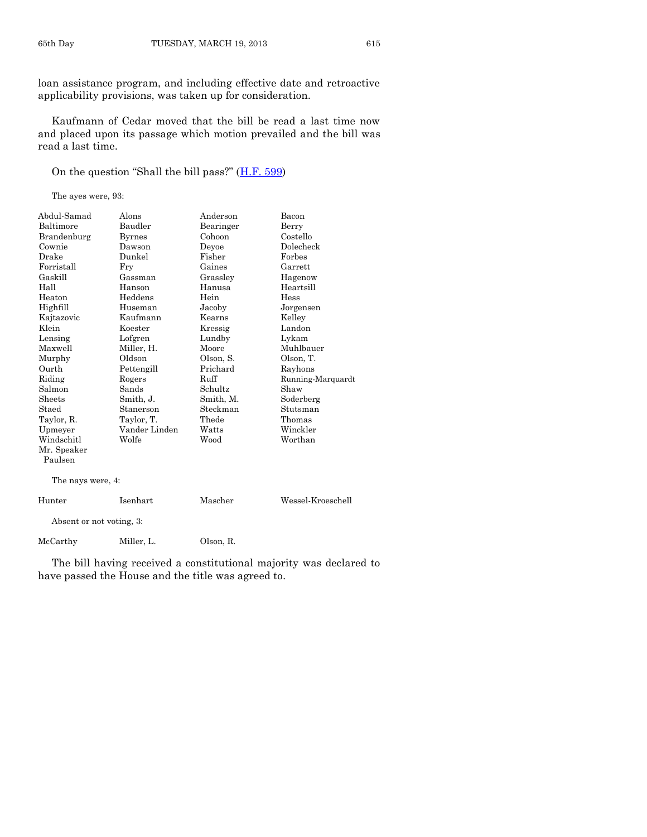loan assistance program, and including effective date and retroactive applicability provisions, was taken up for consideration.

Kaufmann of Cedar moved that the bill be read a last time now and placed upon its passage which motion prevailed and the bill was read a last time.

On the question "Shall the bill pass?" ([H.F. 599\)](http://coolice.legis.state.ia.us/Cool-ICE/default.asp?Category=billinfo&Service=Billbook&frame=1&GA=85&hbill=HF599)

The ayes were, 93:

| Abdul-Samad              | Alons         | Anderson  | Bacon             |
|--------------------------|---------------|-----------|-------------------|
| Baltimore                | Baudler       | Bearinger | Berry             |
| Brandenburg              | <b>Byrnes</b> | Cohoon    | Costello          |
| Cownie                   | Dawson        | Deyoe     | Dolecheck         |
| Drake                    | Dunkel        | Fisher    | Forbes            |
| Forristall               | Fry           | Gaines    | Garrett           |
| Gaskill                  | Gassman       | Grassley  | Hagenow           |
| Hall                     | Hanson        | Hanusa    | Heartsill         |
| Heaton                   | Heddens       | Hein      | Hess              |
| Highfill                 | Huseman       | Jacoby    | Jorgensen         |
| Kajtazovic               | Kaufmann      | Kearns    | Kelley            |
| Klein                    | Koester       | Kressig   | Landon            |
| Lensing                  | Lofgren       | Lundby    | Lykam             |
| Maxwell                  | Miller, H.    | Moore     | Muhlbauer         |
| Murphy                   | Oldson        | Olson, S. | Olson, T.         |
| Ourth                    | Pettengill    | Prichard  | Rayhons           |
| Riding                   | Rogers        | Ruff      | Running-Marquardt |
| Salmon                   | Sands         | Schultz   | Shaw              |
| <b>Sheets</b>            | Smith, J.     | Smith, M. | Soderberg         |
| Staed                    | Stanerson     | Steckman  | Stutsman          |
| Taylor, R.               | Taylor, T.    | Thede     | Thomas            |
| Upmeyer                  | Vander Linden | Watts     | Winckler          |
| Windschitl               | Wolfe         | Wood      | Worthan           |
| Mr. Speaker              |               |           |                   |
| Paulsen                  |               |           |                   |
| The nays were, 4:        |               |           |                   |
| Hunter                   | Isenhart      | Mascher   | Wessel-Kroeschell |
| Absent or not voting, 3: |               |           |                   |
| McCarthy                 | Miller, L.    | Olson, R. |                   |
|                          |               |           |                   |

The bill having received a constitutional majority was declared to have passed the House and the title was agreed to.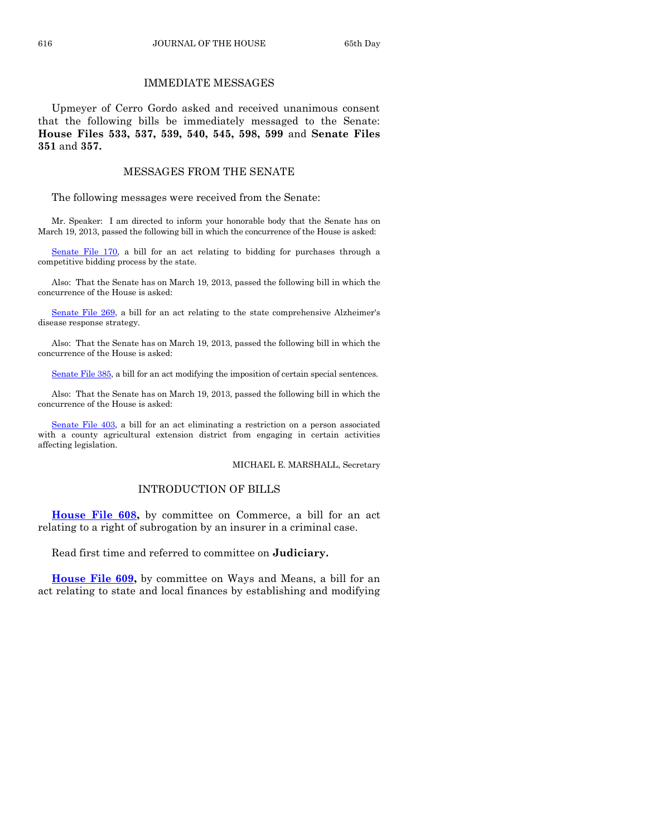# IMMEDIATE MESSAGES

Upmeyer of Cerro Gordo asked and received unanimous consent that the following bills be immediately messaged to the Senate: **House Files 533, 537, 539, 540, 545, 598, 599** and **Senate Files 351** and **357.**

#### MESSAGES FROM THE SENATE

The following messages were received from the Senate:

Mr. Speaker: I am directed to inform your honorable body that the Senate has on March 19, 2013, passed the following bill in which the concurrence of the House is asked:

[Senate File 170,](http://coolice.legis.state.ia.us/Cool-ICE/default.asp?Category=billinfo&Service=Billbook&frame=1&GA=85&hbill=SF170) a bill for an act relating to bidding for purchases through a competitive bidding process by the state.

Also: That the Senate has on March 19, 2013, passed the following bill in which the concurrence of the House is asked:

[Senate File 269,](http://coolice.legis.state.ia.us/Cool-ICE/default.asp?Category=billinfo&Service=Billbook&frame=1&GA=85&hbill=SF269) a bill for an act relating to the state comprehensive Alzheimer's disease response strategy.

Also: That the Senate has on March 19, 2013, passed the following bill in which the concurrence of the House is asked:

[Senate File 385,](http://coolice.legis.state.ia.us/Cool-ICE/default.asp?Category=billinfo&Service=Billbook&frame=1&GA=85&hbill=SF385) a bill for an act modifying the imposition of certain special sentences.

Also: That the Senate has on March 19, 2013, passed the following bill in which the concurrence of the House is asked:

[Senate File 403,](http://coolice.legis.state.ia.us/Cool-ICE/default.asp?Category=billinfo&Service=Billbook&frame=1&GA=85&hbill=SF403) a bill for an act eliminating a restriction on a person associated with a county agricultural extension district from engaging in certain activities affecting legislation.

#### MICHAEL E. MARSHALL, Secretary

# INTRODUCTION OF BILLS

**[House File 608,](http://coolice.legis.state.ia.us/Cool-ICE/default.asp?Category=billinfo&Service=Billbook&frame=1&GA=85&hbill=HF608)** by committee on Commerce, a bill for an act relating to a right of subrogation by an insurer in a criminal case.

Read first time and referred to committee on **Judiciary.**

**[House File 609,](http://coolice.legis.state.ia.us/Cool-ICE/default.asp?Category=billinfo&Service=Billbook&frame=1&GA=85&hbill=HF609)** by committee on Ways and Means, a bill for an act relating to state and local finances by establishing and modifying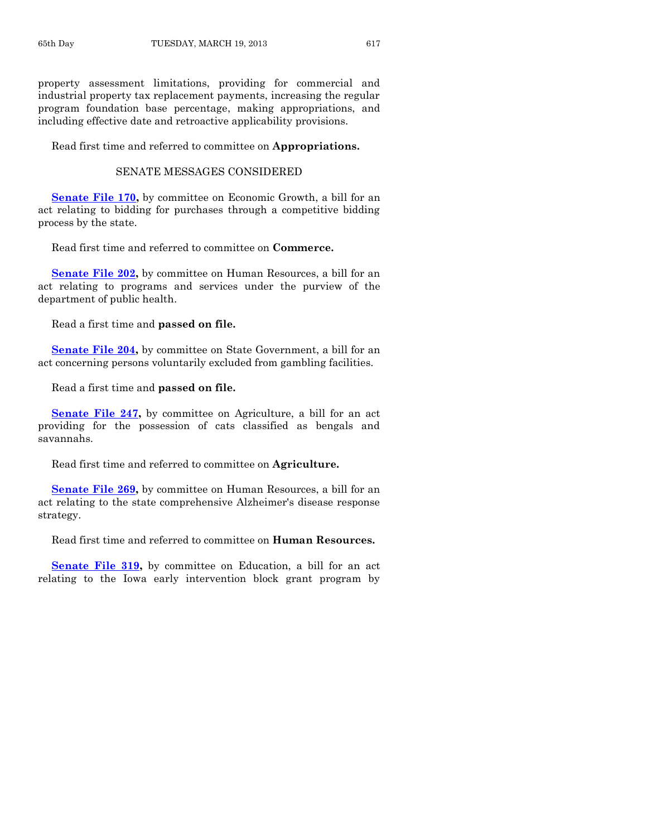property assessment limitations, providing for commercial and industrial property tax replacement payments, increasing the regular program foundation base percentage, making appropriations, and including effective date and retroactive applicability provisions.

Read first time and referred to committee on **Appropriations.**

#### SENATE MESSAGES CONSIDERED

**[Senate File 170,](http://coolice.legis.state.ia.us/Cool-ICE/default.asp?Category=billinfo&Service=Billbook&frame=1&GA=85&hbill=SF170)** by committee on Economic Growth, a bill for an act relating to bidding for purchases through a competitive bidding process by the state.

Read first time and referred to committee on **Commerce.**

**[Senate File 202,](http://coolice.legis.state.ia.us/Cool-ICE/default.asp?Category=billinfo&Service=Billbook&frame=1&GA=85&hbill=SF202)** by committee on Human Resources, a bill for an act relating to programs and services under the purview of the department of public health.

Read a first time and **passed on file.**

**[Senate File 204,](http://coolice.legis.state.ia.us/Cool-ICE/default.asp?Category=billinfo&Service=Billbook&frame=1&GA=85&hbill=SF204)** by committee on State Government, a bill for an act concerning persons voluntarily excluded from gambling facilities.

Read a first time and **passed on file.**

**[Senate File 247,](http://coolice.legis.state.ia.us/Cool-ICE/default.asp?Category=billinfo&Service=Billbook&frame=1&GA=85&hbill=SF247)** by committee on Agriculture, a bill for an act providing for the possession of cats classified as bengals and savannahs.

Read first time and referred to committee on **Agriculture.**

**[Senate File 269,](http://coolice.legis.state.ia.us/Cool-ICE/default.asp?Category=billinfo&Service=Billbook&frame=1&GA=85&hbill=SF269)** by committee on Human Resources, a bill for an act relating to the state comprehensive Alzheimer's disease response strategy.

Read first time and referred to committee on **Human Resources.**

**[Senate File 319,](http://coolice.legis.state.ia.us/Cool-ICE/default.asp?Category=billinfo&Service=Billbook&frame=1&GA=85&hbill=SF319)** by committee on Education, a bill for an act relating to the Iowa early intervention block grant program by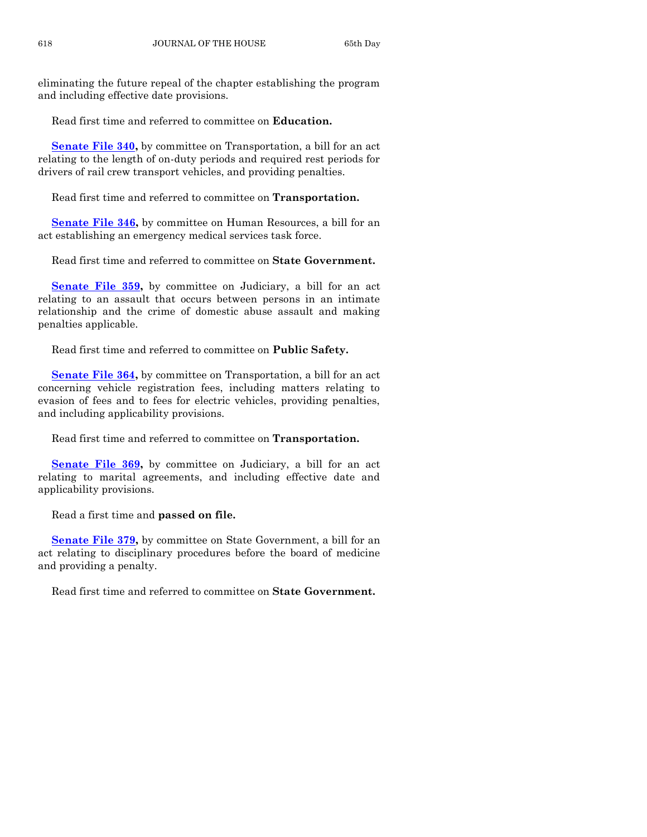eliminating the future repeal of the chapter establishing the program and including effective date provisions.

Read first time and referred to committee on **Education.**

**[Senate File 340,](http://coolice.legis.state.ia.us/Cool-ICE/default.asp?Category=billinfo&Service=Billbook&frame=1&GA=85&hbill=SF340)** by committee on Transportation, a bill for an act relating to the length of on-duty periods and required rest periods for drivers of rail crew transport vehicles, and providing penalties.

Read first time and referred to committee on **Transportation.**

**[Senate File 346,](http://coolice.legis.state.ia.us/Cool-ICE/default.asp?Category=billinfo&Service=Billbook&frame=1&GA=85&hbill=SF346)** by committee on Human Resources, a bill for an act establishing an emergency medical services task force.

Read first time and referred to committee on **State Government.**

**[Senate File 359,](http://coolice.legis.state.ia.us/Cool-ICE/default.asp?Category=billinfo&Service=Billbook&frame=1&GA=85&hbill=SF359)** by committee on Judiciary, a bill for an act relating to an assault that occurs between persons in an intimate relationship and the crime of domestic abuse assault and making penalties applicable.

Read first time and referred to committee on **Public Safety.**

**[Senate File 364,](http://coolice.legis.state.ia.us/Cool-ICE/default.asp?Category=billinfo&Service=Billbook&frame=1&GA=85&hbill=SF364)** by committee on Transportation, a bill for an act concerning vehicle registration fees, including matters relating to evasion of fees and to fees for electric vehicles, providing penalties, and including applicability provisions.

Read first time and referred to committee on **Transportation.**

[Senate File 369,](http://coolice.legis.state.ia.us/Cool-ICE/default.asp?Category=billinfo&Service=Billbook&frame=1&GA=85&hbill=SF369) by committee on Judiciary, a bill for an act relating to marital agreements, and including effective date and applicability provisions.

Read a first time and **passed on file.**

**[Senate File 379,](http://coolice.legis.state.ia.us/Cool-ICE/default.asp?Category=billinfo&Service=Billbook&frame=1&GA=85&hbill=SF379)** by committee on State Government, a bill for an act relating to disciplinary procedures before the board of medicine and providing a penalty.

Read first time and referred to committee on **State Government.**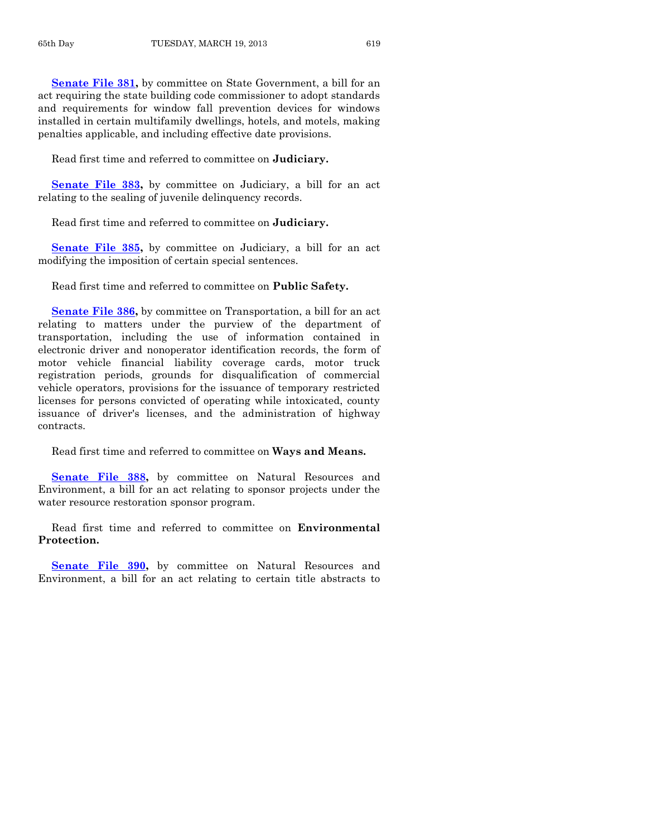**[Senate File 381,](http://coolice.legis.state.ia.us/Cool-ICE/default.asp?Category=billinfo&Service=Billbook&frame=1&GA=85&hbill=SF381)** by committee on State Government, a bill for an act requiring the state building code commissioner to adopt standards and requirements for window fall prevention devices for windows installed in certain multifamily dwellings, hotels, and motels, making penalties applicable, and including effective date provisions.

Read first time and referred to committee on **Judiciary.**

**[Senate File 383,](http://coolice.legis.state.ia.us/Cool-ICE/default.asp?Category=billinfo&Service=Billbook&frame=1&GA=85&hbill=SF383)** by committee on Judiciary, a bill for an act relating to the sealing of juvenile delinquency records.

Read first time and referred to committee on **Judiciary.**

**[Senate File 385,](http://coolice.legis.state.ia.us/Cool-ICE/default.asp?Category=billinfo&Service=Billbook&frame=1&GA=85&hbill=SF385)** by committee on Judiciary, a bill for an act modifying the imposition of certain special sentences.

Read first time and referred to committee on **Public Safety.**

**[Senate File 386,](http://coolice.legis.state.ia.us/Cool-ICE/default.asp?Category=billinfo&Service=Billbook&frame=1&GA=85&hbill=SF386)** by committee on Transportation, a bill for an act relating to matters under the purview of the department of transportation, including the use of information contained in electronic driver and nonoperator identification records, the form of motor vehicle financial liability coverage cards, motor truck registration periods, grounds for disqualification of commercial vehicle operators, provisions for the issuance of temporary restricted licenses for persons convicted of operating while intoxicated, county issuance of driver's licenses, and the administration of highway contracts.

Read first time and referred to committee on **Ways and Means.**

**[Senate File 388,](http://coolice.legis.state.ia.us/Cool-ICE/default.asp?Category=billinfo&Service=Billbook&frame=1&GA=85&hbill=SF388)** by committee on Natural Resources and Environment, a bill for an act relating to sponsor projects under the water resource restoration sponsor program.

Read first time and referred to committee on **Environmental Protection.**

**[Senate File 390,](http://coolice.legis.state.ia.us/Cool-ICE/default.asp?Category=billinfo&Service=Billbook&frame=1&GA=85&hbill=SF390)** by committee on Natural Resources and Environment, a bill for an act relating to certain title abstracts to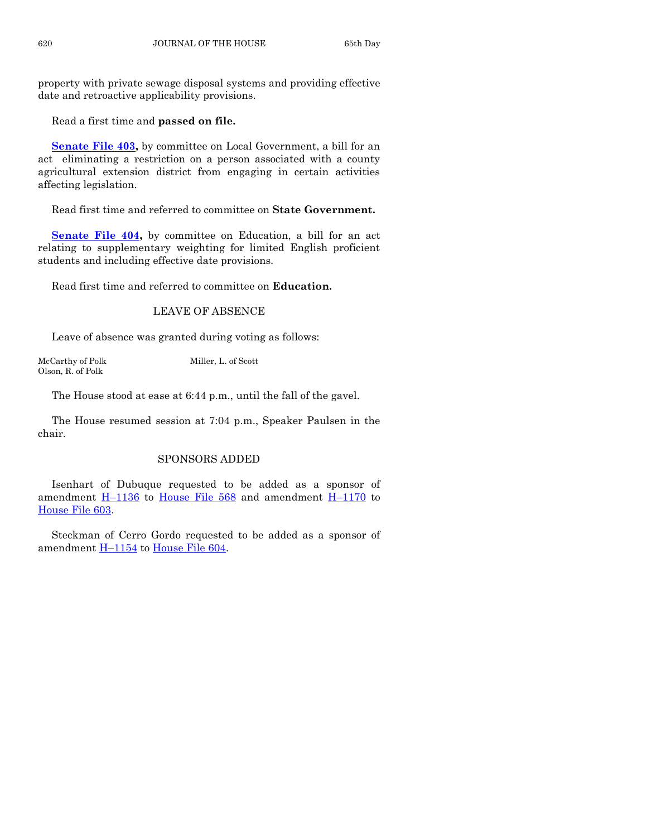property with private sewage disposal systems and providing effective date and retroactive applicability provisions.

Read a first time and **passed on file.**

**[Senate File 403,](http://coolice.legis.state.ia.us/Cool-ICE/default.asp?Category=billinfo&Service=Billbook&frame=1&GA=85&hbill=SF403)** by committee on Local Government, a bill for an act eliminating a restriction on a person associated with a county agricultural extension district from engaging in certain activities affecting legislation.

Read first time and referred to committee on **State Government.**

**[Senate File 404,](http://coolice.legis.state.ia.us/Cool-ICE/default.asp?Category=billinfo&Service=Billbook&frame=1&GA=85&hbill=SF404)** by committee on Education, a bill for an act relating to supplementary weighting for limited English proficient students and including effective date provisions.

Read first time and referred to committee on **Education.**

# LEAVE OF ABSENCE

Leave of absence was granted during voting as follows:

McCarthy of Polk Miller, L. of Scott Olson, R. of Polk

The House stood at ease at 6:44 p.m., until the fall of the gavel.

The House resumed session at 7:04 p.m., Speaker Paulsen in the chair.

# SPONSORS ADDED

Isenhart of Dubuque requested to be added as a sponsor of amendment  $H-1136$  $H-1136$  to [House File 568](http://coolice.legis.state.ia.us/Cool-ICE/default.asp?Category=billinfo&Service=Billbook&frame=1&GA=85&hbill=HF568) and amendment  $H-1170$  $H-1170$  to [House File 603.](http://coolice.legis.state.ia.us/Cool-ICE/default.asp?Category=billinfo&Service=Billbook&frame=1&GA=85&hbill=HF603)

Steckman of Cerro Gordo requested to be added as a sponsor of amendment H-[1154](http://coolice.legis.state.ia.us/Cool-ICE/default.asp?Category=billinfo&Service=Billbook&frame=1&GA=85&hbill=H1154) to [House File 604.](http://coolice.legis.state.ia.us/Cool-ICE/default.asp?Category=billinfo&Service=Billbook&frame=1&GA=85&hbill=HF604)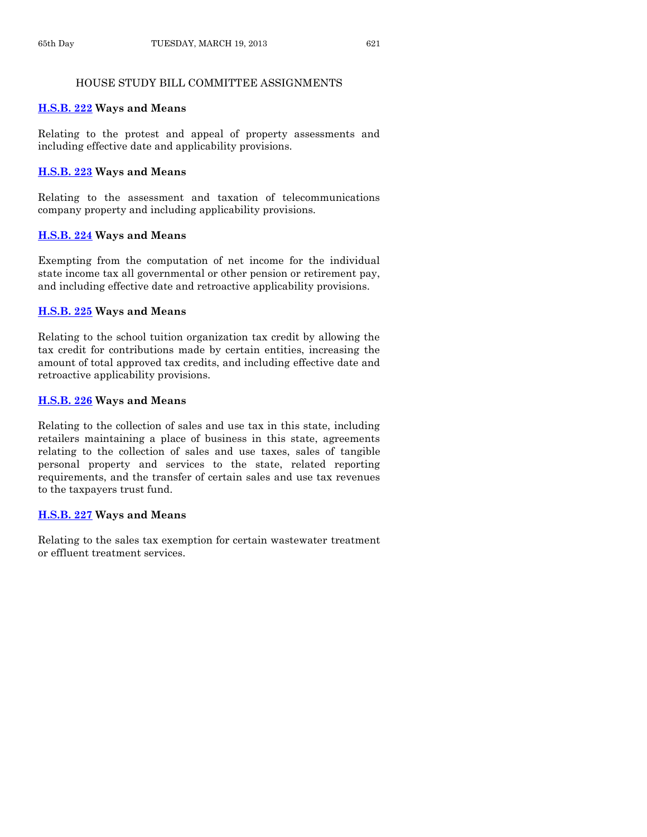# HOUSE STUDY BILL COMMITTEE ASSIGNMENTS

# **[H.S.B. 222](http://coolice.legis.state.ia.us/Cool-ICE/default.asp?Category=billinfo&Service=Billbook&frame=1&GA=85&hbill=HSB222) Ways and Means**

Relating to the protest and appeal of property assessments and including effective date and applicability provisions.

# **[H.S.B. 223](http://coolice.legis.state.ia.us/Cool-ICE/default.asp?Category=billinfo&Service=Billbook&frame=1&GA=85&hbill=HSB223) Ways and Means**

Relating to the assessment and taxation of telecommunications company property and including applicability provisions.

# **[H.S.B. 224](http://coolice.legis.state.ia.us/Cool-ICE/default.asp?Category=billinfo&Service=Billbook&frame=1&GA=85&hbill=HSB224) Ways and Means**

Exempting from the computation of net income for the individual state income tax all governmental or other pension or retirement pay, and including effective date and retroactive applicability provisions.

# **[H.S.B. 225](http://coolice.legis.state.ia.us/Cool-ICE/default.asp?Category=billinfo&Service=Billbook&frame=1&GA=85&hbill=HSB225) Ways and Means**

Relating to the school tuition organization tax credit by allowing the tax credit for contributions made by certain entities, increasing the amount of total approved tax credits, and including effective date and retroactive applicability provisions.

# **[H.S.B. 226](http://coolice.legis.state.ia.us/Cool-ICE/default.asp?Category=billinfo&Service=Billbook&frame=1&GA=85&hbill=HSB226) Ways and Means**

Relating to the collection of sales and use tax in this state, including retailers maintaining a place of business in this state, agreements relating to the collection of sales and use taxes, sales of tangible personal property and services to the state, related reporting requirements, and the transfer of certain sales and use tax revenues to the taxpayers trust fund.

# **[H.S.B. 227](http://coolice.legis.state.ia.us/Cool-ICE/default.asp?Category=billinfo&Service=Billbook&frame=1&GA=85&hbill=HSB227) Ways and Means**

Relating to the sales tax exemption for certain wastewater treatment or effluent treatment services.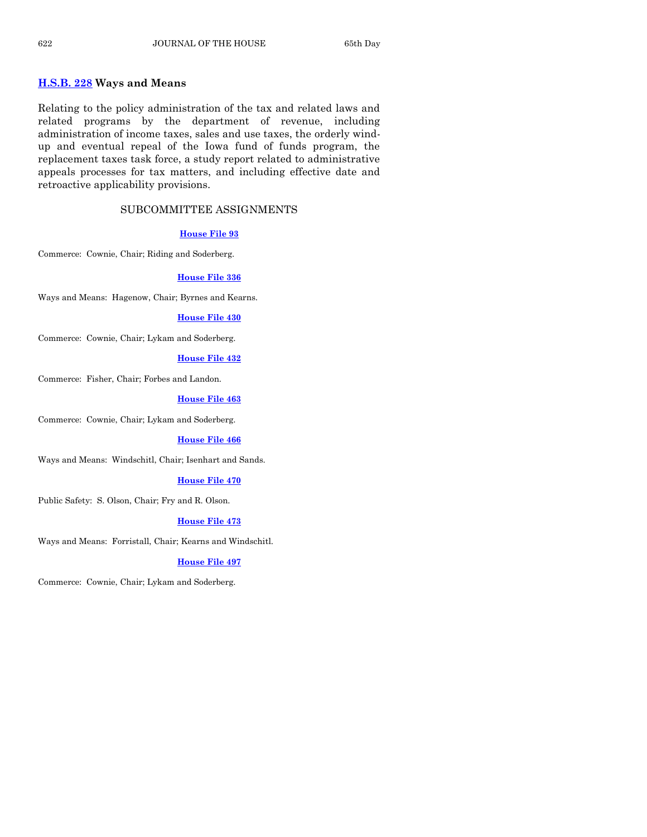# **[H.S.B. 228](http://coolice.legis.state.ia.us/Cool-ICE/default.asp?Category=billinfo&Service=Billbook&frame=1&GA=85&hbill=HSB228) Ways and Means**

Relating to the policy administration of the tax and related laws and related programs by the department of revenue, including administration of income taxes, sales and use taxes, the orderly windup and eventual repeal of the Iowa fund of funds program, the replacement taxes task force, a study report related to administrative appeals processes for tax matters, and including effective date and retroactive applicability provisions.

# SUBCOMMITTEE ASSIGNMENTS

#### **[House File 93](http://coolice.legis.state.ia.us/Cool-ICE/default.asp?Category=billinfo&Service=Billbook&frame=1&GA=85&hbill=HF93)**

Commerce: Cownie, Chair; Riding and Soderberg.

#### **[House File 336](http://coolice.legis.state.ia.us/Cool-ICE/default.asp?Category=billinfo&Service=Billbook&frame=1&GA=85&hbill=HF336)**

Ways and Means: Hagenow, Chair; Byrnes and Kearns.

#### **[House File 430](http://coolice.legis.state.ia.us/Cool-ICE/default.asp?Category=billinfo&Service=Billbook&frame=1&GA=85&hbill=HF430)**

Commerce: Cownie, Chair; Lykam and Soderberg.

#### **[House File 432](http://coolice.legis.state.ia.us/Cool-ICE/default.asp?Category=billinfo&Service=Billbook&frame=1&GA=85&hbill=HF432)**

Commerce: Fisher, Chair; Forbes and Landon.

#### **[House File 463](http://coolice.legis.state.ia.us/Cool-ICE/default.asp?Category=billinfo&Service=Billbook&frame=1&GA=85&hbill=HF463)**

Commerce: Cownie, Chair; Lykam and Soderberg.

#### **[House File 466](http://coolice.legis.state.ia.us/Cool-ICE/default.asp?Category=billinfo&Service=Billbook&frame=1&GA=85&hbill=HF466)**

Ways and Means: Windschitl, Chair; Isenhart and Sands.

#### **[House File 470](http://coolice.legis.state.ia.us/Cool-ICE/default.asp?Category=billinfo&Service=Billbook&frame=1&GA=85&hbill=HF470)**

Public Safety: S. Olson, Chair; Fry and R. Olson.

#### **[House File 473](http://coolice.legis.state.ia.us/Cool-ICE/default.asp?Category=billinfo&Service=Billbook&frame=1&GA=85&hbill=HF473)**

Ways and Means: Forristall, Chair; Kearns and Windschitl.

# **[House File 497](http://coolice.legis.state.ia.us/Cool-ICE/default.asp?Category=billinfo&Service=Billbook&frame=1&GA=85&hbill=HF497)**

Commerce: Cownie, Chair; Lykam and Soderberg.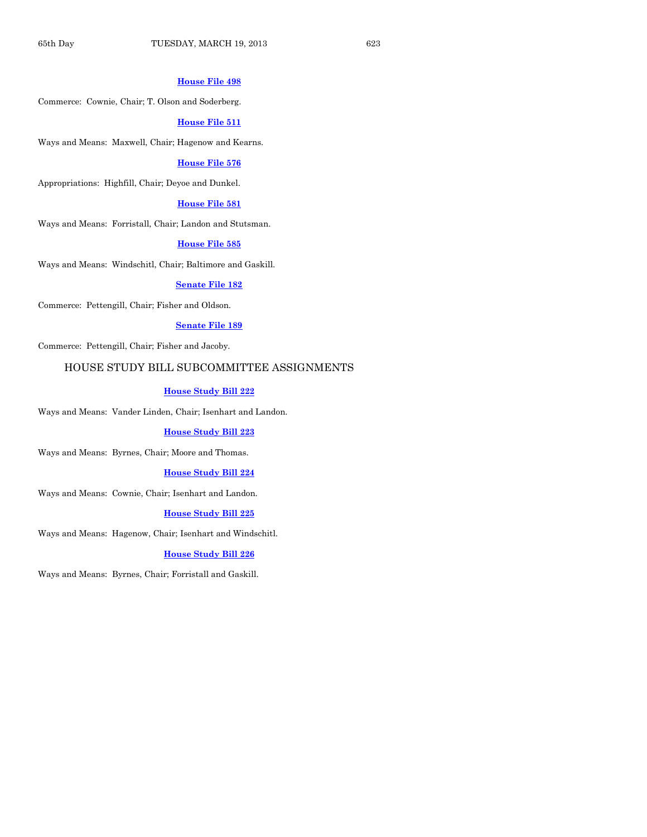#### **[House File 498](http://coolice.legis.state.ia.us/Cool-ICE/default.asp?Category=billinfo&Service=Billbook&frame=1&GA=85&hbill=HF498)**

Commerce: Cownie, Chair; T. Olson and Soderberg.

#### **[House File 511](http://coolice.legis.state.ia.us/Cool-ICE/default.asp?Category=billinfo&Service=Billbook&frame=1&GA=85&hbill=HF511)**

Ways and Means: Maxwell, Chair; Hagenow and Kearns.

#### **[House File 576](http://coolice.legis.state.ia.us/Cool-ICE/default.asp?Category=billinfo&Service=Billbook&frame=1&GA=85&hbill=HF576)**

Appropriations: Highfill, Chair; Deyoe and Dunkel.

#### **[House File 581](http://coolice.legis.state.ia.us/Cool-ICE/default.asp?Category=billinfo&Service=Billbook&frame=1&GA=85&hbill=HF581)**

Ways and Means: Forristall, Chair; Landon and Stutsman.

#### **[House File 585](http://coolice.legis.state.ia.us/Cool-ICE/default.asp?Category=billinfo&Service=Billbook&frame=1&GA=85&hbill=HF585)**

Ways and Means: Windschitl, Chair; Baltimore and Gaskill.

#### **[Senate File 182](http://coolice.legis.state.ia.us/Cool-ICE/default.asp?Category=billinfo&Service=Billbook&frame=1&GA=85&hbill=SF182)**

Commerce: Pettengill, Chair; Fisher and Oldson.

#### **[Senate File 189](http://coolice.legis.state.ia.us/Cool-ICE/default.asp?Category=billinfo&Service=Billbook&frame=1&GA=85&hbill=SF189)**

Commerce: Pettengill, Chair; Fisher and Jacoby.

# HOUSE STUDY BILL SUBCOMMITTEE ASSIGNMENTS

#### **[House Study Bill 222](http://coolice.legis.state.ia.us/Cool-ICE/default.asp?Category=billinfo&Service=Billbook&frame=1&GA=85&hbill=HSB222)**

Ways and Means: Vander Linden, Chair; Isenhart and Landon.

#### **[House Study Bill 223](http://coolice.legis.state.ia.us/Cool-ICE/default.asp?Category=billinfo&Service=Billbook&frame=1&GA=85&hbill=HSB223)**

Ways and Means: Byrnes, Chair; Moore and Thomas.

#### **[House Study Bill 224](http://coolice.legis.state.ia.us/Cool-ICE/default.asp?Category=billinfo&Service=Billbook&frame=1&GA=85&hbill=HSB224)**

Ways and Means: Cownie, Chair; Isenhart and Landon.

#### **[House Study Bill 225](http://coolice.legis.state.ia.us/Cool-ICE/default.asp?Category=billinfo&Service=Billbook&frame=1&GA=85&hbill=HSB225)**

Ways and Means: Hagenow, Chair; Isenhart and Windschitl.

#### **[House Study Bill 226](http://coolice.legis.state.ia.us/Cool-ICE/default.asp?Category=billinfo&Service=Billbook&frame=1&GA=85&hbill=HSB226)**

Ways and Means: Byrnes, Chair; Forristall and Gaskill.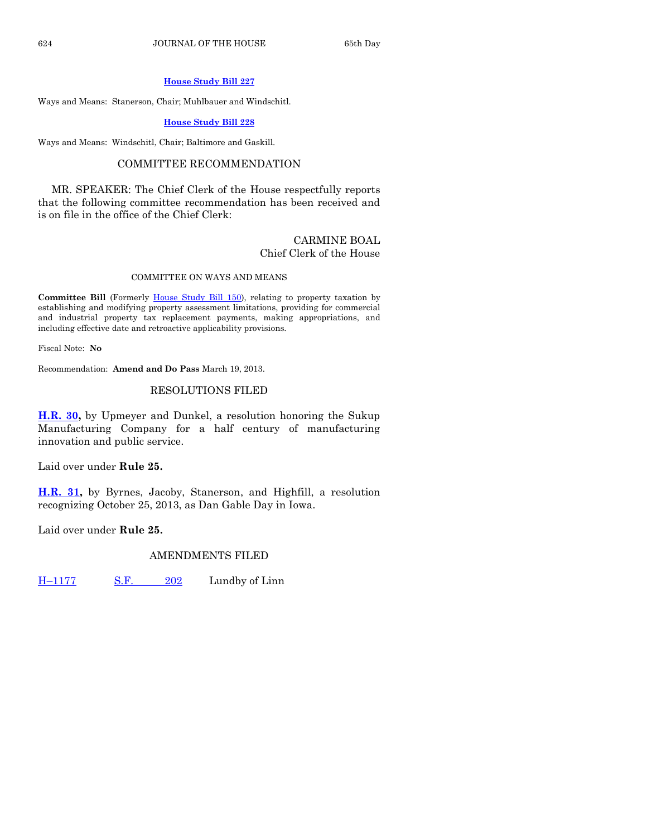#### **[House Study Bill](http://coolice.legis.state.ia.us/Cool-ICE/default.asp?Category=billinfo&Service=Billbook&frame=1&GA=85&hbill=HSB227) 227**

Ways and Means: Stanerson, Chair; Muhlbauer and Windschitl.

#### **[House Study Bill 228](http://coolice.legis.state.ia.us/Cool-ICE/default.asp?Category=billinfo&Service=Billbook&frame=1&GA=85&hbill=HSB228)**

Ways and Means: Windschitl, Chair; Baltimore and Gaskill.

# COMMITTEE RECOMMENDATION

MR. SPEAKER: The Chief Clerk of the House respectfully reports that the following committee recommendation has been received and is on file in the office of the Chief Clerk:

#### CARMINE BOAL Chief Clerk of the House

#### COMMITTEE ON WAYS AND MEANS

**Committee Bill** (Formerly [House Study Bill 150\)](http://coolice.legis.state.ia.us/Cool-ICE/default.asp?Category=billinfo&Service=Billbook&frame=1&GA=85&hbill=HSB150), relating to property taxation by establishing and modifying property assessment limitations, providing for commercial and industrial property tax replacement payments, making appropriations, and including effective date and retroactive applicability provisions.

Fiscal Note: **No**

Recommendation: **Amend and Do Pass** March 19, 2013.

# RESOLUTIONS FILED

**[H.R. 30,](http://coolice.legis.state.ia.us/Cool-ICE/default.asp?Category=billinfo&Service=Billbook&frame=1&GA=85&hbill=HR30)** by Upmeyer and Dunkel, a resolution honoring the Sukup Manufacturing Company for a half century of manufacturing innovation and public service.

Laid over under **Rule 25.**

**[H.R. 31,](http://coolice.legis.state.ia.us/Cool-ICE/default.asp?Category=billinfo&Service=Billbook&frame=1&GA=85&hbill=HR31)** by Byrnes, Jacoby, Stanerson, and Highfill, a resolution recognizing October 25, 2013, as Dan Gable Day in Iowa.

Laid over under **Rule 25.**

# AMENDMENTS FILED

H–[1177](http://coolice.legis.state.ia.us/Cool-ICE/default.asp?Category=billinfo&Service=Billbook&frame=1&GA=85&hbill=H1177) [S.F.](http://coolice.legis.state.ia.us/Cool-ICE/default.asp?Category=billinfo&Service=Billbook&frame=1&GA=85&hbill=SF202) 202 Lundby of Linn